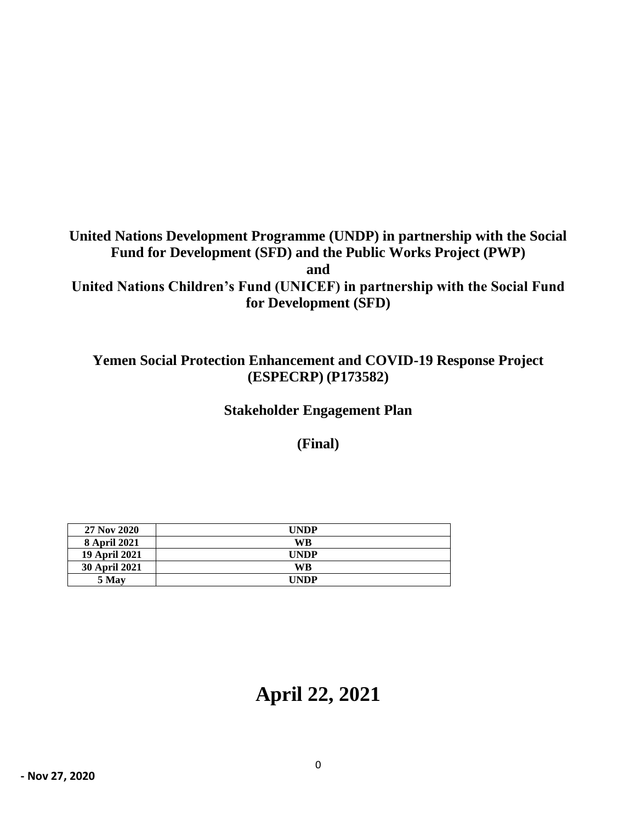# **United Nations Development Programme (UNDP) in partnership with the Social Fund for Development (SFD) and the Public Works Project (PWP) and United Nations Children's Fund (UNICEF) in partnership with the Social Fund for Development (SFD)**

## **Yemen Social Protection Enhancement and COVID-19 Response Project (ESPECRP) (P173582)**

**Stakeholder Engagement Plan**

**(Final)**

| 27 Nov 2020          | UNDP        |
|----------------------|-------------|
| 8 April 2021         | WB          |
| <b>19 April 2021</b> | <b>UNDP</b> |
| <b>30 April 2021</b> | WB          |
| 5 May                | UNDP        |

# **April 22, 2021**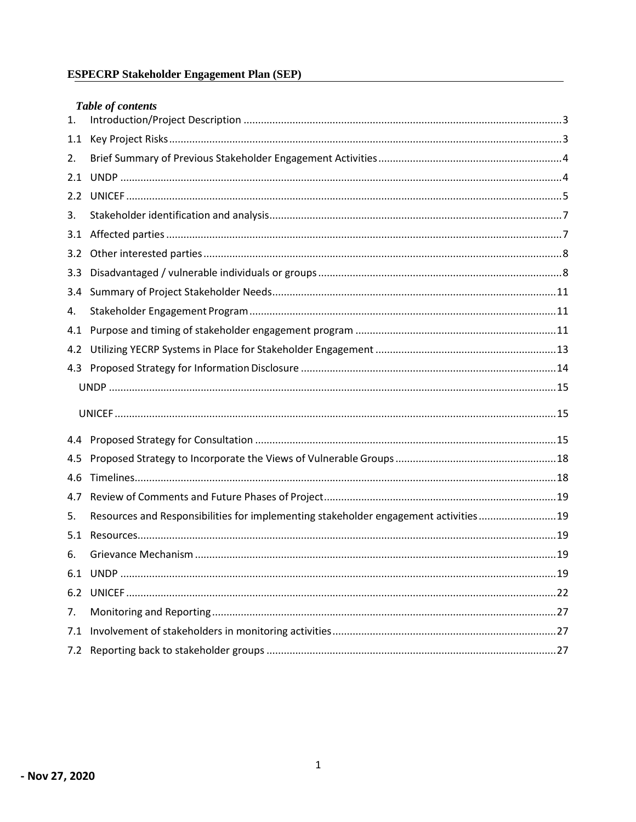# **ESPECRP Stakeholder Engagement Plan (SEP)**

|     | Table of contents                                                                   |  |
|-----|-------------------------------------------------------------------------------------|--|
| 1.  |                                                                                     |  |
| 1.1 |                                                                                     |  |
| 2.  |                                                                                     |  |
| 2.1 |                                                                                     |  |
| 2.2 |                                                                                     |  |
| 3.  |                                                                                     |  |
| 3.1 |                                                                                     |  |
| 3.2 |                                                                                     |  |
| 3.3 |                                                                                     |  |
| 3.4 |                                                                                     |  |
| 4.  |                                                                                     |  |
| 4.1 |                                                                                     |  |
| 4.2 |                                                                                     |  |
|     |                                                                                     |  |
|     |                                                                                     |  |
|     |                                                                                     |  |
|     |                                                                                     |  |
| 4.5 |                                                                                     |  |
| 4.6 |                                                                                     |  |
| 4.7 |                                                                                     |  |
| 5.  | Resources and Responsibilities for implementing stakeholder engagement activities19 |  |
| 5.1 |                                                                                     |  |
| 6.  |                                                                                     |  |
|     |                                                                                     |  |
|     |                                                                                     |  |
| 7.  |                                                                                     |  |
| 7.1 |                                                                                     |  |
| 7.2 |                                                                                     |  |
|     |                                                                                     |  |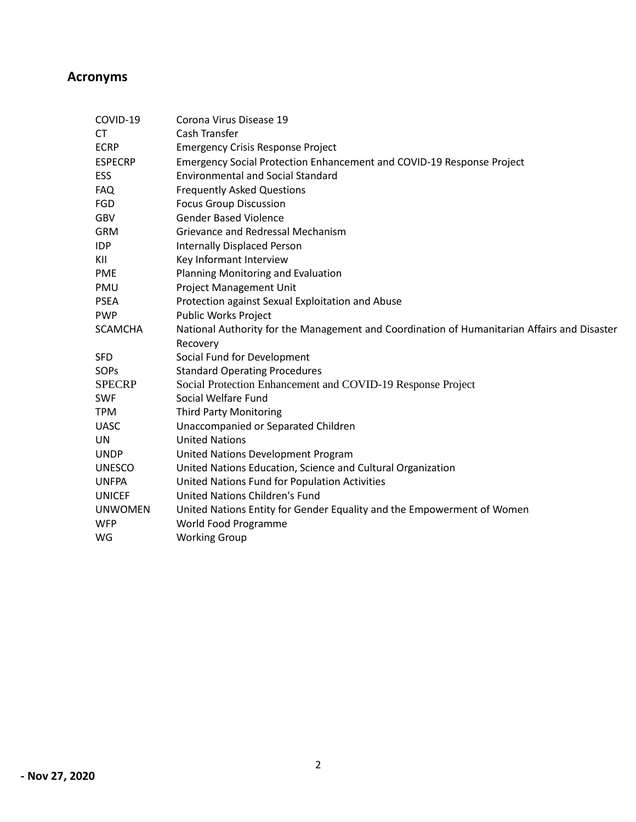# **Acronyms**

| COVID-19       | Corona Virus Disease 19                                                                                 |
|----------------|---------------------------------------------------------------------------------------------------------|
| СT             | Cash Transfer                                                                                           |
| <b>ECRP</b>    | <b>Emergency Crisis Response Project</b>                                                                |
| <b>ESPECRP</b> | Emergency Social Protection Enhancement and COVID-19 Response Project                                   |
| ESS            | <b>Environmental and Social Standard</b>                                                                |
| FAQ            | <b>Frequently Asked Questions</b>                                                                       |
| <b>FGD</b>     | <b>Focus Group Discussion</b>                                                                           |
| GBV            | <b>Gender Based Violence</b>                                                                            |
| <b>GRM</b>     | Grievance and Redressal Mechanism                                                                       |
| <b>IDP</b>     | <b>Internally Displaced Person</b>                                                                      |
| KII            | Key Informant Interview                                                                                 |
| <b>PME</b>     | Planning Monitoring and Evaluation                                                                      |
| PMU            | <b>Project Management Unit</b>                                                                          |
| <b>PSEA</b>    | Protection against Sexual Exploitation and Abuse                                                        |
| <b>PWP</b>     | <b>Public Works Project</b>                                                                             |
| <b>SCAMCHA</b> | National Authority for the Management and Coordination of Humanitarian Affairs and Disaster<br>Recovery |
| <b>SFD</b>     | Social Fund for Development                                                                             |
| SOPs           | <b>Standard Operating Procedures</b>                                                                    |
| <b>SPECRP</b>  | Social Protection Enhancement and COVID-19 Response Project                                             |
| <b>SWF</b>     | Social Welfare Fund                                                                                     |
| <b>TPM</b>     | <b>Third Party Monitoring</b>                                                                           |
| <b>UASC</b>    | Unaccompanied or Separated Children                                                                     |
| UN             | <b>United Nations</b>                                                                                   |
| <b>UNDP</b>    | United Nations Development Program                                                                      |
| <b>UNESCO</b>  | United Nations Education, Science and Cultural Organization                                             |
| <b>UNFPA</b>   | United Nations Fund for Population Activities                                                           |
| <b>UNICEF</b>  | <b>United Nations Children's Fund</b>                                                                   |
| <b>UNWOMEN</b> | United Nations Entity for Gender Equality and the Empowerment of Women                                  |
| <b>WFP</b>     | World Food Programme                                                                                    |
| WG             | <b>Working Group</b>                                                                                    |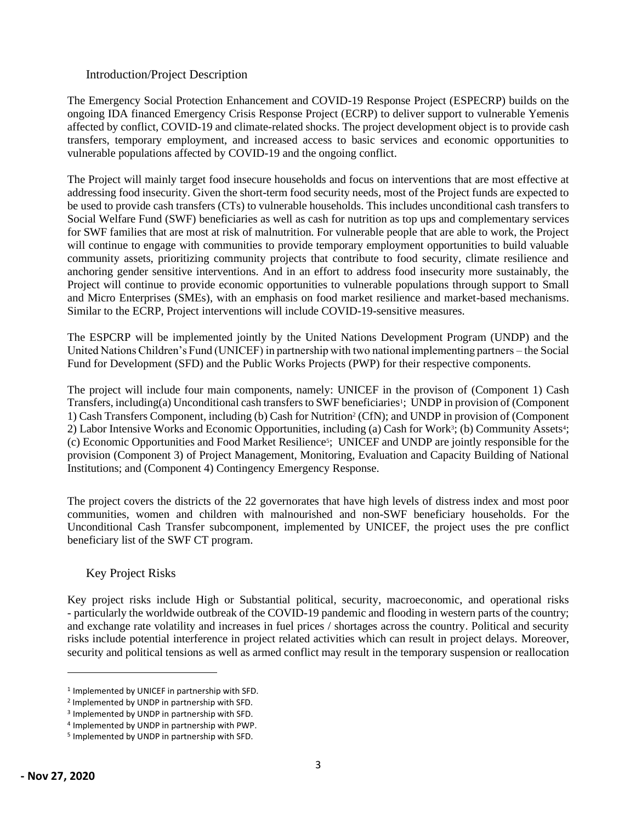#### <span id="page-3-0"></span>Introduction/Project Description

The Emergency Social Protection Enhancement and COVID-19 Response Project (ESPECRP) builds on the ongoing IDA financed Emergency Crisis Response Project (ECRP) to deliver support to vulnerable Yemenis affected by conflict, COVID-19 and climate-related shocks. The project development object is to provide cash transfers, temporary employment, and increased access to basic services and economic opportunities to vulnerable populations affected by COVID-19 and the ongoing conflict.

The Project will mainly target food insecure households and focus on interventions that are most effective at addressing food insecurity. Given the short-term food security needs, most of the Project funds are expected to be used to provide cash transfers (CTs) to vulnerable households. This includes unconditional cash transfers to Social Welfare Fund (SWF) beneficiaries as well as cash for nutrition as top ups and complementary services for SWF families that are most at risk of malnutrition. For vulnerable people that are able to work, the Project will continue to engage with communities to provide temporary employment opportunities to build valuable community assets, prioritizing community projects that contribute to food security, climate resilience and anchoring gender sensitive interventions. And in an effort to address food insecurity more sustainably, the Project will continue to provide economic opportunities to vulnerable populations through support to Small and Micro Enterprises (SMEs), with an emphasis on food market resilience and market-based mechanisms. Similar to the ECRP, Project interventions will include COVID-19-sensitive measures.

The ESPCRP will be implemented jointly by the United Nations Development Program (UNDP) and the United Nations Children's Fund (UNICEF) in partnership with two national implementing partners – the Social Fund for Development (SFD) and the Public Works Projects (PWP) for their respective components.

The project will include four main components, namely: UNICEF in the provison of (Component 1) Cash Transfers, including(a) Unconditional cash transfers to SWF beneficiaries<sup>1</sup>; UNDP in provision of (Component 1) Cash Transfers Component, including (b) Cash for Nutrition<sup>2</sup> (CfN); and UNDP in provision of (Component 2) Labor Intensive Works and Economic Opportunities, including (a) Cash for Work<sup>3</sup>; (b) Community Assets<sup>4</sup>; (c) Economic Opportunities and Food Market Resilience<sup>5</sup> ; UNICEF and UNDP are jointly responsible for the provision (Component 3) of Project Management, Monitoring, Evaluation and Capacity Building of National Institutions; and (Component 4) Contingency Emergency Response.

The project covers the districts of the 22 governorates that have high levels of distress index and most poor communities, women and children with malnourished and non-SWF beneficiary households. For the Unconditional Cash Transfer subcomponent, implemented by UNICEF, the project uses the pre conflict beneficiary list of the SWF CT program.

### <span id="page-3-1"></span>Key Project Risks

Key project risks include High or Substantial political, security, macroeconomic, and operational risks - particularly the worldwide outbreak of the COVID-19 pandemic and flooding in western parts of the country; and exchange rate volatility and increases in fuel prices / shortages across the country. Political and security risks include potential interference in project related activities which can result in project delays. Moreover, security and political tensions as well as armed conflict may result in the temporary suspension or reallocation

<sup>1</sup> Implemented by UNICEF in partnership with SFD.

<sup>2</sup> Implemented by UNDP in partnership with SFD.

<sup>3</sup> Implemented by UNDP in partnership with SFD.

<sup>4</sup> Implemented by UNDP in partnership with PWP.

<sup>5</sup> Implemented by UNDP in partnership with SFD.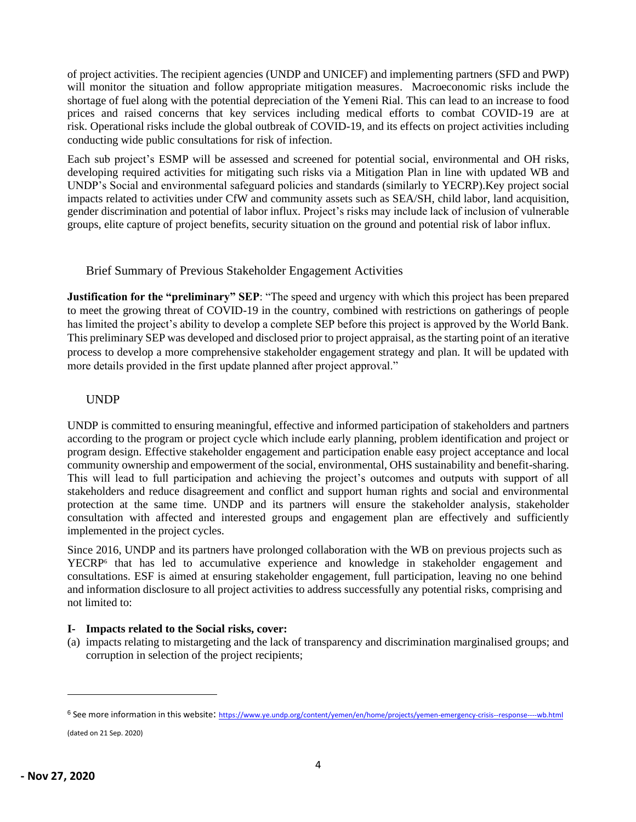of project activities. The recipient agencies (UNDP and UNICEF) and implementing partners (SFD and PWP) will monitor the situation and follow appropriate mitigation measures. Macroeconomic risks include the shortage of fuel along with the potential depreciation of the Yemeni Rial. This can lead to an increase to food prices and raised concerns that key services including medical efforts to combat COVID-19 are at risk. Operational risks include the global outbreak of COVID-19, and its effects on project activities including conducting wide public consultations for risk of infection.

Each sub project's ESMP will be assessed and screened for potential social, environmental and OH risks, developing required activities for mitigating such risks via a Mitigation Plan in line with updated WB and UNDP's Social and environmental safeguard policies and standards (similarly to YECRP).Key project social impacts related to activities under CfW and community assets such as SEA/SH, child labor, land acquisition, gender discrimination and potential of labor influx. Project's risks may include lack of inclusion of vulnerable groups, elite capture of project benefits, security situation on the ground and potential risk of labor influx.

<span id="page-4-0"></span>Brief Summary of Previous Stakeholder Engagement Activities

**Justification for the "preliminary" SEP**: "The speed and urgency with which this project has been prepared to meet the growing threat of COVID-19 in the country, combined with restrictions on gatherings of people has limited the project's ability to develop a complete SEP before this project is approved by the World Bank. This preliminary SEP was developed and disclosed prior to project appraisal, as the starting point of an iterative process to develop a more comprehensive stakeholder engagement strategy and plan. It will be updated with more details provided in the first update planned after project approval."

### <span id="page-4-1"></span>UNDP

UNDP is committed to ensuring meaningful, effective and informed participation of stakeholders and partners according to the program or project cycle which include early planning, problem identification and project or program design. Effective stakeholder engagement and participation enable easy project acceptance and local community ownership and empowerment of the social, environmental, OHS sustainability and benefit-sharing. This will lead to full participation and achieving the project's outcomes and outputs with support of all stakeholders and reduce disagreement and conflict and support human rights and social and environmental protection at the same time. UNDP and its partners will ensure the stakeholder analysis, stakeholder consultation with affected and interested groups and engagement plan are effectively and sufficiently implemented in the project cycles.

Since 2016, UNDP and its partners have prolonged collaboration with the WB on previous projects such as YECRP<sup>6</sup> that has led to accumulative experience and knowledge in stakeholder engagement and consultations. ESF is aimed at ensuring stakeholder engagement, full participation, leaving no one behind and information disclosure to all project activities to address successfully any potential risks, comprising and not limited to:

### **I- Impacts related to the Social risks, cover:**

(a) impacts relating to mistargeting and the lack of transparency and discrimination marginalised groups; and corruption in selection of the project recipients;

(dated on 21 Sep. 2020)

<sup>6</sup> See more information in this website: <https://www.ye.undp.org/content/yemen/en/home/projects/yemen-emergency-crisis--response----wb.html>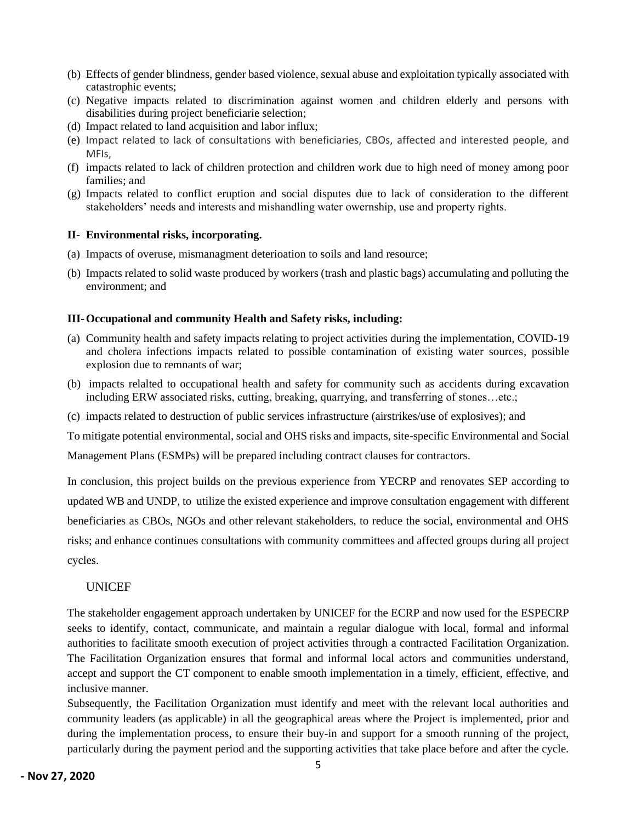- (b) Effects of gender blindness, gender based violence, sexual abuse and exploitation typically associated with catastrophic events;
- (c) Negative impacts related to discrimination against women and children elderly and persons with disabilities during project beneficiarie selection;
- (d) Impact related to land acquisition and labor influx;
- (e) Impact related to lack of consultations with beneficiaries, CBOs, affected and interested people, and MFIs,
- (f) impacts related to lack of children protection and children work due to high need of money among poor families; and
- (g) Impacts related to conflict eruption and social disputes due to lack of consideration to the different stakeholders' needs and interests and mishandling water owernship, use and property rights.

#### **II- Environmental risks, incorporating.**

- (a) Impacts of overuse, mismanagment deterioation to soils and land resource;
- (b) Impacts related to solid waste produced by workers (trash and plastic bags) accumulating and polluting the environment; and

#### **III-Occupational and community Health and Safety risks, including:**

- (a) Community health and safety impacts relating to project activities during the implementation, COVID-19 and cholera infections impacts related to possible contamination of existing water sources, possible explosion due to remnants of war;
- (b) impacts relalted to occupational health and safety for community such as accidents during excavation including ERW associated risks, cutting, breaking, quarrying, and transferring of stones…etc.;
- (c) impacts related to destruction of public services infrastructure (airstrikes/use of explosives); and

To mitigate potential environmental, social and OHS risks and impacts, site-specific Environmental and Social

Management Plans (ESMPs) will be prepared including contract clauses for contractors.

In conclusion, this project builds on the previous experience from YECRP and renovates SEP according to updated WB and UNDP, to utilize the existed experience and improve consultation engagement with different beneficiaries as CBOs, NGOs and other relevant stakeholders, to reduce the social, environmental and OHS risks; and enhance continues consultations with community committees and affected groups during all project cycles.

### <span id="page-5-0"></span>UNICEF

The stakeholder engagement approach undertaken by UNICEF for the ECRP and now used for the ESPECRP seeks to identify, contact, communicate, and maintain a regular dialogue with local, formal and informal authorities to facilitate smooth execution of project activities through a contracted Facilitation Organization. The Facilitation Organization ensures that formal and informal local actors and communities understand, accept and support the CT component to enable smooth implementation in a timely, efficient, effective, and inclusive manner.

Subsequently, the Facilitation Organization must identify and meet with the relevant local authorities and community leaders (as applicable) in all the geographical areas where the Project is implemented, prior and during the implementation process, to ensure their buy-in and support for a smooth running of the project, particularly during the payment period and the supporting activities that take place before and after the cycle.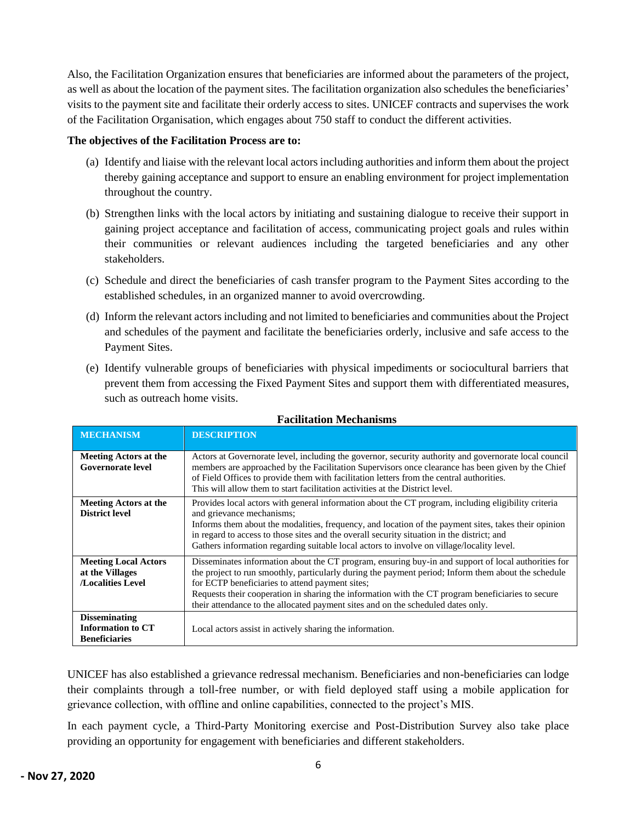Also, the Facilitation Organization ensures that beneficiaries are informed about the parameters of the project, as well as about the location of the payment sites. The facilitation organization also schedules the beneficiaries' visits to the payment site and facilitate their orderly access to sites. UNICEF contracts and supervises the work of the Facilitation Organisation, which engages about 750 staff to conduct the different activities.

#### **The objectives of the Facilitation Process are to:**

- (a) Identify and liaise with the relevant local actors including authorities and inform them about the project thereby gaining acceptance and support to ensure an enabling environment for project implementation throughout the country.
- (b) Strengthen links with the local actors by initiating and sustaining dialogue to receive their support in gaining project acceptance and facilitation of access, communicating project goals and rules within their communities or relevant audiences including the targeted beneficiaries and any other stakeholders.
- (c) Schedule and direct the beneficiaries of cash transfer program to the Payment Sites according to the established schedules, in an organized manner to avoid overcrowding.
- (d) Inform the relevant actors including and not limited to beneficiaries and communities about the Project and schedules of the payment and facilitate the beneficiaries orderly, inclusive and safe access to the Payment Sites.
- (e) Identify vulnerable groups of beneficiaries with physical impediments or sociocultural barriers that prevent them from accessing the Fixed Payment Sites and support them with differentiated measures, such as outreach home visits.

| <b>MECHANISM</b>                                                          | <b>DESCRIPTION</b>                                                                                                                                                                                                                                                                                                                                                                                                                                     |
|---------------------------------------------------------------------------|--------------------------------------------------------------------------------------------------------------------------------------------------------------------------------------------------------------------------------------------------------------------------------------------------------------------------------------------------------------------------------------------------------------------------------------------------------|
| <b>Meeting Actors at the</b><br><b>Governorate level</b>                  | Actors at Governorate level, including the governor, security authority and governorate local council<br>members are approached by the Facilitation Supervisors once clearance has been given by the Chief<br>of Field Offices to provide them with facilitation letters from the central authorities.<br>This will allow them to start facilitation activities at the District level.                                                                 |
| <b>Meeting Actors at the</b><br><b>District level</b>                     | Provides local actors with general information about the CT program, including eligibility criteria<br>and grievance mechanisms;<br>Informs them about the modalities, frequency, and location of the payment sites, takes their opinion<br>in regard to access to those sites and the overall security situation in the district; and<br>Gathers information regarding suitable local actors to involve on village/locality level.                    |
| <b>Meeting Local Actors</b><br>at the Villages<br><b>Localities Level</b> | Disseminates information about the CT program, ensuring buy-in and support of local authorities for<br>the project to run smoothly, particularly during the payment period; Inform them about the schedule<br>for ECTP beneficiaries to attend payment sites;<br>Requests their cooperation in sharing the information with the CT program beneficiaries to secure<br>their attendance to the allocated payment sites and on the scheduled dates only. |
| <b>Disseminating</b><br><b>Information to CT</b><br><b>Beneficiaries</b>  | Local actors assist in actively sharing the information.                                                                                                                                                                                                                                                                                                                                                                                               |

### **Facilitation Mechanisms**

UNICEF has also established a grievance redressal mechanism. Beneficiaries and non-beneficiaries can lodge their complaints through a toll-free number, or with field deployed staff using a mobile application for grievance collection, with offline and online capabilities, connected to the project's MIS.

In each payment cycle, a Third-Party Monitoring exercise and Post-Distribution Survey also take place providing an opportunity for engagement with beneficiaries and different stakeholders.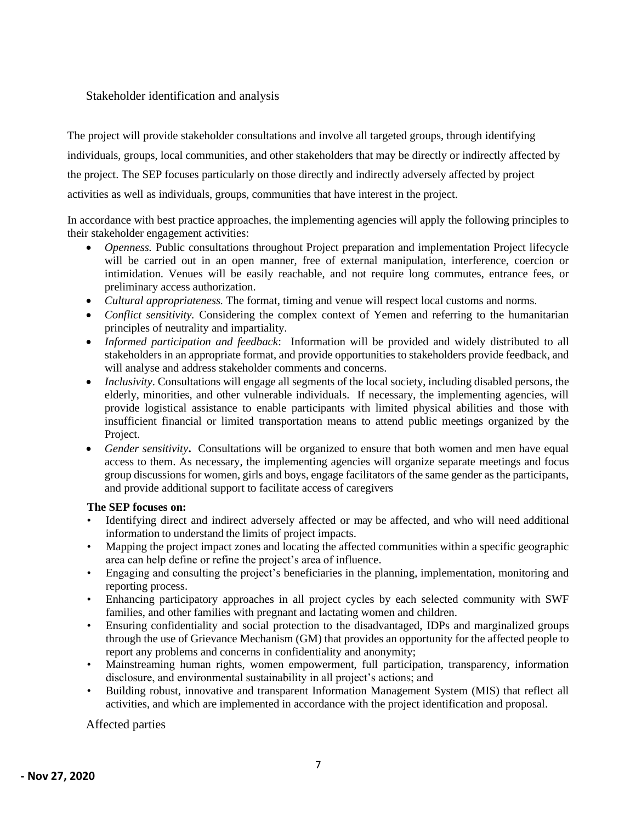### <span id="page-7-0"></span>Stakeholder identification and analysis

The project will provide stakeholder consultations and involve all targeted groups, through identifying individuals, groups, local communities, and other stakeholders that may be directly or indirectly affected by the project. The SEP focuses particularly on those directly and indirectly adversely affected by project activities as well as individuals, groups, communities that have interest in the project.

In accordance with best practice approaches, the implementing agencies will apply the following principles to their stakeholder engagement activities:

- *Openness.* Public consultations throughout Project preparation and implementation Project lifecycle will be carried out in an open manner, free of external manipulation, interference, coercion or intimidation. Venues will be easily reachable, and not require long commutes, entrance fees, or preliminary access authorization.
- *Cultural appropriateness.* The format, timing and venue will respect local customs and norms.
- *Conflict sensitivity.* Considering the complex context of Yemen and referring to the humanitarian principles of neutrality and impartiality.
- *Informed participation and feedback*: Information will be provided and widely distributed to all stakeholders in an appropriate format, and provide opportunities to stakeholders provide feedback, and will analyse and address stakeholder comments and concerns.
- *Inclusivity*. Consultations will engage all segments of the local society, including disabled persons, the elderly, minorities, and other vulnerable individuals. If necessary, the implementing agencies, will provide logistical assistance to enable participants with limited physical abilities and those with insufficient financial or limited transportation means to attend public meetings organized by the Project.
- *Gender sensitivity*. Consultations will be organized to ensure that both women and men have equal access to them. As necessary, the implementing agencies will organize separate meetings and focus group discussions for women, girls and boys, engage facilitators of the same gender as the participants, and provide additional support to facilitate access of caregivers

#### **The SEP focuses on:**

- Identifying direct and indirect adversely affected or may be affected, and who will need additional information to understand the limits of project impacts.
- Mapping the project impact zones and locating the affected communities within a specific geographic area can help define or refine the project's area of influence.
- Engaging and consulting the project's beneficiaries in the planning, implementation, monitoring and reporting process.
- Enhancing participatory approaches in all project cycles by each selected community with SWF families, and other families with pregnant and lactating women and children.
- Ensuring confidentiality and social protection to the disadvantaged, IDPs and marginalized groups through the use of Grievance Mechanism (GM) that provides an opportunity for the affected people to report any problems and concerns in confidentiality and anonymity;
- Mainstreaming human rights, women empowerment, full participation, transparency, information disclosure, and environmental sustainability in all project's actions; and
- Building robust, innovative and transparent Information Management System (MIS) that reflect all activities, and which are implemented in accordance with the project identification and proposal.

### <span id="page-7-1"></span>Affected parties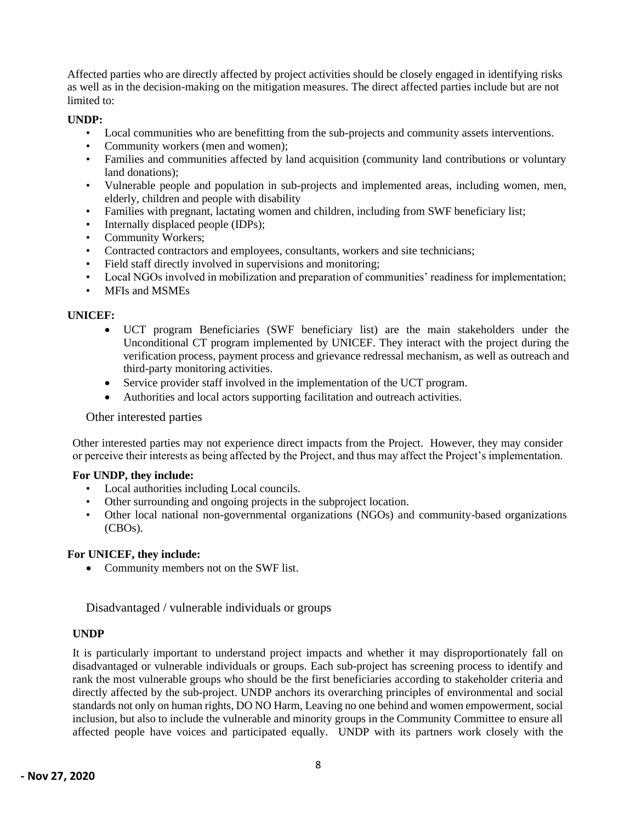Affected parties who are directly affected by project activities should be closely engaged in identifying risks as well as in the decision-making on the mitigation measures. The direct affected parties include but are not limited to:

#### **UNDP:**

- Local communities who are benefitting from the sub-projects and community assets interventions.
- Community workers (men and women);
- Families and communities affected by land acquisition (community land contributions or voluntary land donations);
- Vulnerable people and population in sub-projects and implemented areas, including women, men, elderly, children and people with disability
- Families with pregnant, lactating women and children, including from SWF beneficiary list;
- Internally displaced people (IDPs);
- Community Workers;
- Contracted contractors and employees, consultants, workers and site technicians;
- Field staff directly involved in supervisions and monitoring;
- Local NGOs involved in mobilization and preparation of communities' readiness for implementation;
- MFIs and MSMEs

#### **UNICEF:**

- UCT program Beneficiaries (SWF beneficiary list) are the main stakeholders under the Unconditional CT program implemented by UNICEF. They interact with the project during the verification process, payment process and grievance redressal mechanism, as well as outreach and third-party monitoring activities.
- Service provider staff involved in the implementation of the UCT program.
- Authorities and local actors supporting facilitation and outreach activities.

#### <span id="page-8-0"></span>Other interested parties

Other interested parties may not experience direct impacts from the Project. However, they may consider or perceive their interests as being affected by the Project, and thus may affect the Project's implementation.

#### **For UNDP, they include:**

- Local authorities including Local councils.
- Other surrounding and ongoing projects in the subproject location.
- Other local national non-governmental organizations (NGOs) and community-based organizations (CBOs).

#### **For UNICEF, they include:**

• Community members not on the SWF list.

<span id="page-8-1"></span>Disadvantaged / vulnerable individuals or groups

#### **UNDP**

It is particularly important to understand project impacts and whether it may disproportionately fall on disadvantaged or vulnerable individuals or groups. Each sub-project has screening process to identify and rank the most vulnerable groups who should be the first beneficiaries according to stakeholder criteria and directly affected by the sub-project. UNDP anchors its overarching principles of environmental and social standards not only on human rights, DO NO Harm, Leaving no one behind and women empowerment, social inclusion, but also to include the vulnerable and minority groups in the Community Committee to ensure all affected people have voices and participated equally. UNDP with its partners work closely with the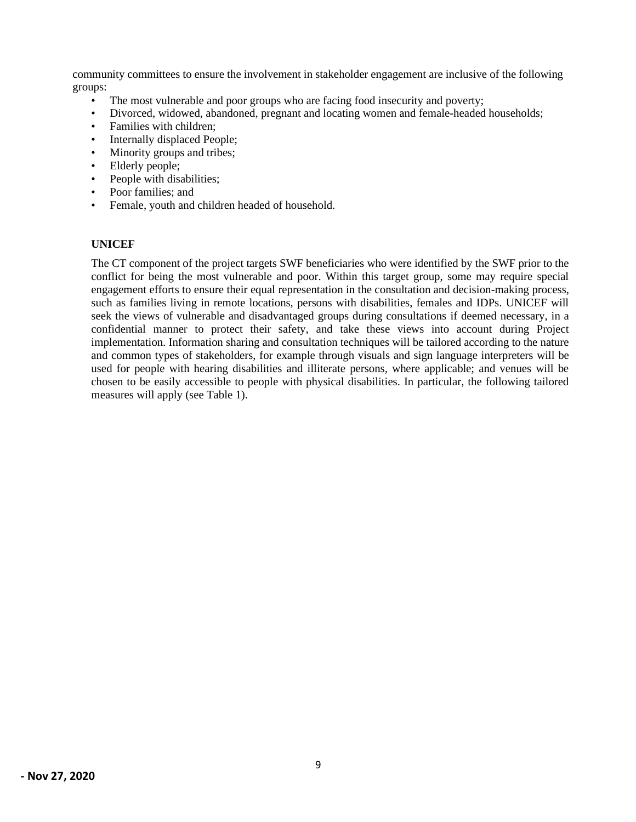community committees to ensure the involvement in stakeholder engagement are inclusive of the following groups:

- The most vulnerable and poor groups who are facing food insecurity and poverty;
- Divorced, widowed, abandoned, pregnant and locating women and female-headed households;
- Families with children;
- Internally displaced People;
- Minority groups and tribes;
- Elderly people;
- People with disabilities;
- Poor families; and
- Female, youth and children headed of household.

#### **UNICEF**

The CT component of the project targets SWF beneficiaries who were identified by the SWF prior to the conflict for being the most vulnerable and poor. Within this target group, some may require special engagement efforts to ensure their equal representation in the consultation and decision-making process, such as families living in remote locations, persons with disabilities, females and IDPs. UNICEF will seek the views of vulnerable and disadvantaged groups during consultations if deemed necessary, in a confidential manner to protect their safety, and take these views into account during Project implementation. Information sharing and consultation techniques will be tailored according to the nature and common types of stakeholders, for example through visuals and sign language interpreters will be used for people with hearing disabilities and illiterate persons, where applicable; and venues will be chosen to be easily accessible to people with physical disabilities. In particular, the following tailored measures will apply (see Table 1).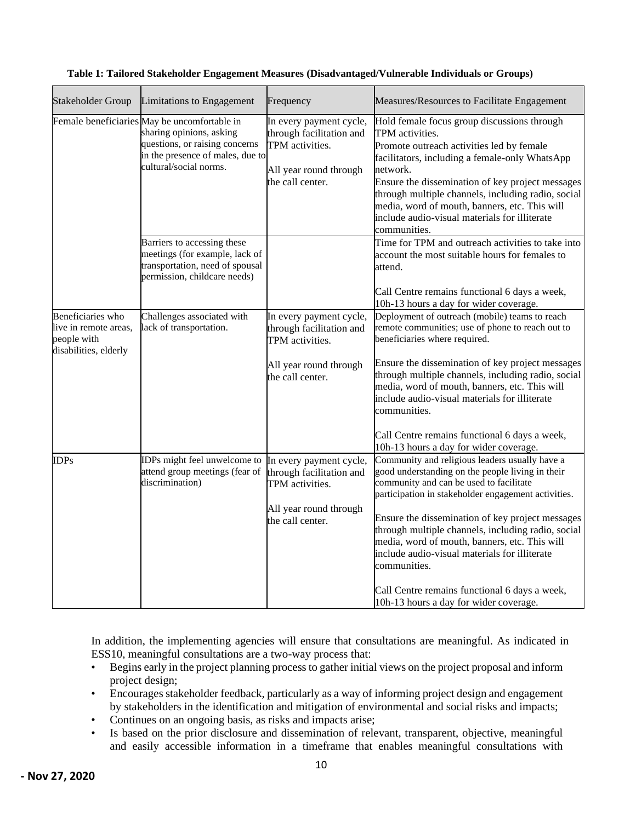| Stakeholder Group                                                                  | Limitations to Engagement                                                                                                                                                | Frequency                                                                                                            | Measures/Resources to Facilitate Engagement                                                                                                                                                                                                                                                                                                                                                           |
|------------------------------------------------------------------------------------|--------------------------------------------------------------------------------------------------------------------------------------------------------------------------|----------------------------------------------------------------------------------------------------------------------|-------------------------------------------------------------------------------------------------------------------------------------------------------------------------------------------------------------------------------------------------------------------------------------------------------------------------------------------------------------------------------------------------------|
|                                                                                    | Female beneficiaries May be uncomfortable in<br>sharing opinions, asking<br>questions, or raising concerns<br>in the presence of males, due to<br>cultural/social norms. | In every payment cycle,<br>through facilitation and<br>TPM activities.<br>All year round through<br>the call center. | Hold female focus group discussions through<br>TPM activities.<br>Promote outreach activities led by female<br>facilitators, including a female-only WhatsApp<br>network.<br>Ensure the dissemination of key project messages<br>through multiple channels, including radio, social<br>media, word of mouth, banners, etc. This will<br>include audio-visual materials for illiterate<br>communities. |
|                                                                                    | Barriers to accessing these<br>meetings (for example, lack of<br>transportation, need of spousal<br>permission, childcare needs)                                         |                                                                                                                      | Time for TPM and outreach activities to take into<br>account the most suitable hours for females to<br>attend.                                                                                                                                                                                                                                                                                        |
|                                                                                    |                                                                                                                                                                          |                                                                                                                      | Call Centre remains functional 6 days a week,<br>10h-13 hours a day for wider coverage.                                                                                                                                                                                                                                                                                                               |
| Beneficiaries who<br>live in remote areas,<br>people with<br>disabilities, elderly | Challenges associated with<br>lack of transportation.                                                                                                                    | In every payment cycle,<br>through facilitation and<br>TPM activities.                                               | Deployment of outreach (mobile) teams to reach<br>remote communities; use of phone to reach out to<br>beneficiaries where required.                                                                                                                                                                                                                                                                   |
|                                                                                    |                                                                                                                                                                          | All year round through<br>the call center.                                                                           | Ensure the dissemination of key project messages<br>through multiple channels, including radio, social<br>media, word of mouth, banners, etc. This will<br>include audio-visual materials for illiterate<br>communities.                                                                                                                                                                              |
|                                                                                    |                                                                                                                                                                          |                                                                                                                      | Call Centre remains functional 6 days a week,<br>10h-13 hours a day for wider coverage.                                                                                                                                                                                                                                                                                                               |
| <b>IDPs</b>                                                                        | IDPs might feel unwelcome to<br>attend group meetings (fear of<br>discrimination)                                                                                        | In every payment cycle,<br>through facilitation and<br>TPM activities.                                               | Community and religious leaders usually have a<br>good understanding on the people living in their<br>community and can be used to facilitate<br>participation in stakeholder engagement activities.                                                                                                                                                                                                  |
|                                                                                    |                                                                                                                                                                          | All year round through<br>the call center.                                                                           | Ensure the dissemination of key project messages<br>through multiple channels, including radio, social<br>media, word of mouth, banners, etc. This will<br>include audio-visual materials for illiterate<br>communities.                                                                                                                                                                              |
|                                                                                    |                                                                                                                                                                          |                                                                                                                      | Call Centre remains functional 6 days a week,<br>10h-13 hours a day for wider coverage.                                                                                                                                                                                                                                                                                                               |

| Table 1: Tailored Stakeholder Engagement Measures (Disadvantaged/Vulnerable Individuals or Groups) |  |  |
|----------------------------------------------------------------------------------------------------|--|--|
|----------------------------------------------------------------------------------------------------|--|--|

In addition, the implementing agencies will ensure that consultations are meaningful. As indicated in ESS10, meaningful consultations are a two-way process that:

- Begins early in the project planning process to gather initial views on the project proposal and inform project design;
- Encourages stakeholder feedback, particularly as a way of informing project design and engagement by stakeholders in the identification and mitigation of environmental and social risks and impacts;
- Continues on an ongoing basis, as risks and impacts arise;
- Is based on the prior disclosure and dissemination of relevant, transparent, objective, meaningful and easily accessible information in a timeframe that enables meaningful consultations with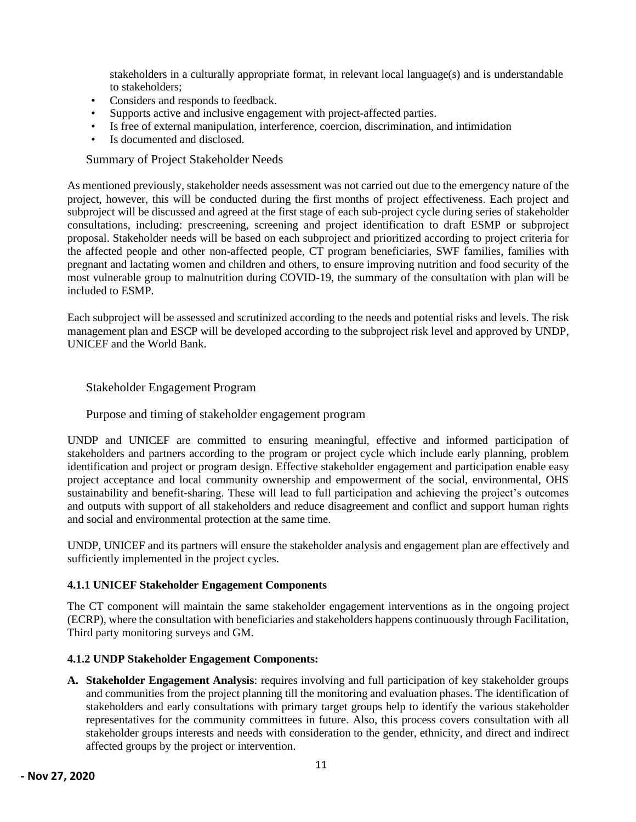stakeholders in a culturally appropriate format, in relevant local language(s) and is understandable to stakeholders;

- Considers and responds to feedback.
- Supports active and inclusive engagement with project-affected parties.
- Is free of external manipulation, interference, coercion, discrimination, and intimidation
- Is documented and disclosed.

<span id="page-11-0"></span>Summary of Project Stakeholder Needs

As mentioned previously, stakeholder needs assessment was not carried out due to the emergency nature of the project, however, this will be conducted during the first months of project effectiveness. Each project and subproject will be discussed and agreed at the first stage of each sub-project cycle during series of stakeholder consultations, including: prescreening, screening and project identification to draft ESMP or subproject proposal. Stakeholder needs will be based on each subproject and prioritized according to project criteria for the affected people and other non-affected people, CT program beneficiaries, SWF families, families with pregnant and lactating women and children and others, to ensure improving nutrition and food security of the most vulnerable group to malnutrition during COVID-19, the summary of the consultation with plan will be included to ESMP.

Each subproject will be assessed and scrutinized according to the needs and potential risks and levels. The risk management plan and ESCP will be developed according to the subproject risk level and approved by UNDP, UNICEF and the World Bank.

### <span id="page-11-1"></span>Stakeholder Engagement Program

### <span id="page-11-2"></span>Purpose and timing of stakeholder engagement program

UNDP and UNICEF are committed to ensuring meaningful, effective and informed participation of stakeholders and partners according to the program or project cycle which include early planning, problem identification and project or program design. Effective stakeholder engagement and participation enable easy project acceptance and local community ownership and empowerment of the social, environmental, OHS sustainability and benefit-sharing. These will lead to full participation and achieving the project's outcomes and outputs with support of all stakeholders and reduce disagreement and conflict and support human rights and social and environmental protection at the same time.

UNDP, UNICEF and its partners will ensure the stakeholder analysis and engagement plan are effectively and sufficiently implemented in the project cycles.

### **4.1.1 UNICEF Stakeholder Engagement Components**

The CT component will maintain the same stakeholder engagement interventions as in the ongoing project (ECRP), where the consultation with beneficiaries and stakeholders happens continuously through Facilitation, Third party monitoring surveys and GM.

### **4.1.2 UNDP Stakeholder Engagement Components:**

**A. Stakeholder Engagement Analysis**: requires involving and full participation of key stakeholder groups and communities from the project planning till the monitoring and evaluation phases. The identification of stakeholders and early consultations with primary target groups help to identify the various stakeholder representatives for the community committees in future. Also, this process covers consultation with all stakeholder groups interests and needs with consideration to the gender, ethnicity, and direct and indirect affected groups by the project or intervention.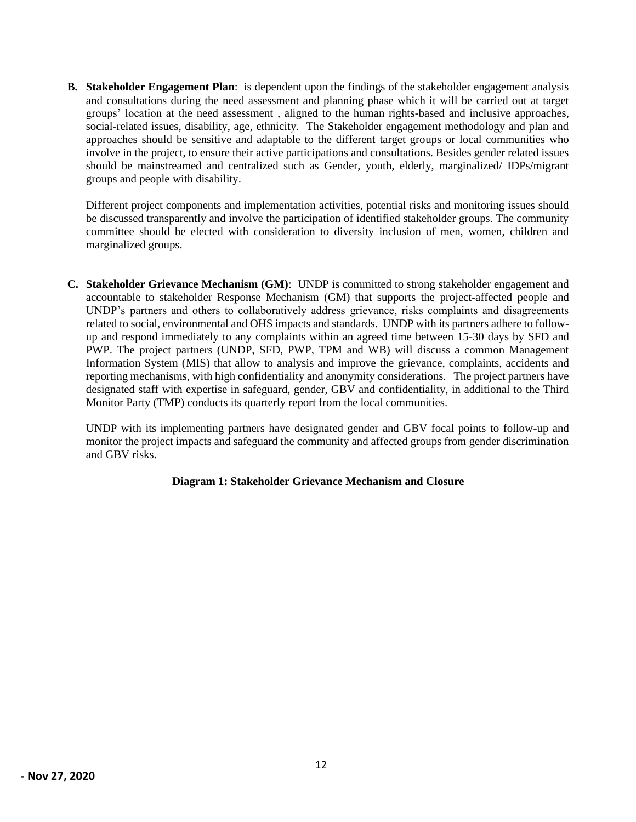**B. Stakeholder Engagement Plan**: is dependent upon the findings of the stakeholder engagement analysis and consultations during the need assessment and planning phase which it will be carried out at target groups' location at the need assessment , aligned to the human rights-based and inclusive approaches, social-related issues, disability, age, ethnicity. The Stakeholder engagement methodology and plan and approaches should be sensitive and adaptable to the different target groups or local communities who involve in the project, to ensure their active participations and consultations. Besides gender related issues should be mainstreamed and centralized such as Gender, youth, elderly, marginalized/ IDPs/migrant groups and people with disability.

Different project components and implementation activities, potential risks and monitoring issues should be discussed transparently and involve the participation of identified stakeholder groups. The community committee should be elected with consideration to diversity inclusion of men, women, children and marginalized groups.

**C. Stakeholder Grievance Mechanism (GM)**: UNDP is committed to strong stakeholder engagement and accountable to stakeholder Response Mechanism (GM) that supports the project-affected people and UNDP's partners and others to collaboratively address grievance, risks complaints and disagreements related to social, environmental and OHS impacts and standards. UNDP with its partners adhere to followup and respond immediately to any complaints within an agreed time between 15-30 days by SFD and PWP. The project partners (UNDP, SFD, PWP, TPM and WB) will discuss a common Management Information System (MIS) that allow to analysis and improve the grievance, complaints, accidents and reporting mechanisms, with high confidentiality and anonymity considerations. The project partners have designated staff with expertise in safeguard, gender, GBV and confidentiality, in additional to the Third Monitor Party (TMP) conducts its quarterly report from the local communities.

UNDP with its implementing partners have designated gender and GBV focal points to follow-up and monitor the project impacts and safeguard the community and affected groups from gender discrimination and GBV risks.

#### **Diagram 1: Stakeholder Grievance Mechanism and Closure**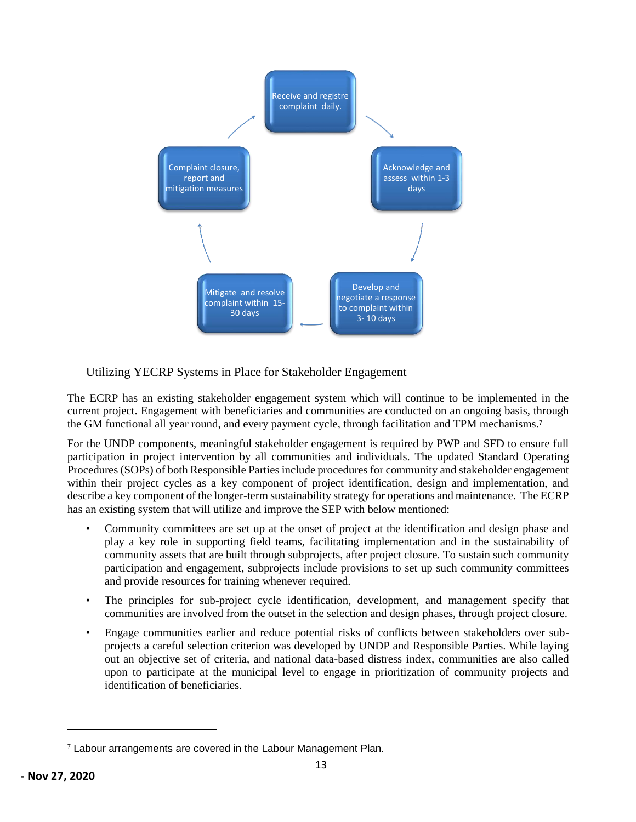

<span id="page-13-0"></span>Utilizing YECRP Systems in Place for Stakeholder Engagement

The ECRP has an existing stakeholder engagement system which will continue to be implemented in the current project. Engagement with beneficiaries and communities are conducted on an ongoing basis, through the GM functional all year round, and every payment cycle, through facilitation and TPM mechanisms.<sup>7</sup>

For the UNDP components, meaningful stakeholder engagement is required by PWP and SFD to ensure full participation in project intervention by all communities and individuals. The updated Standard Operating Procedures (SOPs) of both Responsible Parties include procedures for community and stakeholder engagement within their project cycles as a key component of project identification, design and implementation, and describe a key component of the longer-term sustainability strategy for operations and maintenance. The ECRP has an existing system that will utilize and improve the SEP with below mentioned:

- Community committees are set up at the onset of project at the identification and design phase and play a key role in supporting field teams, facilitating implementation and in the sustainability of community assets that are built through subprojects, after project closure. To sustain such community participation and engagement, subprojects include provisions to set up such community committees and provide resources for training whenever required.
- The principles for sub-project cycle identification, development, and management specify that communities are involved from the outset in the selection and design phases, through project closure.
- Engage communities earlier and reduce potential risks of conflicts between stakeholders over subprojects a careful selection criterion was developed by UNDP and Responsible Parties. While laying out an objective set of criteria, and national data-based distress index, communities are also called upon to participate at the municipal level to engage in prioritization of community projects and identification of beneficiaries.

<sup>&</sup>lt;sup>7</sup> Labour arrangements are covered in the Labour Management Plan.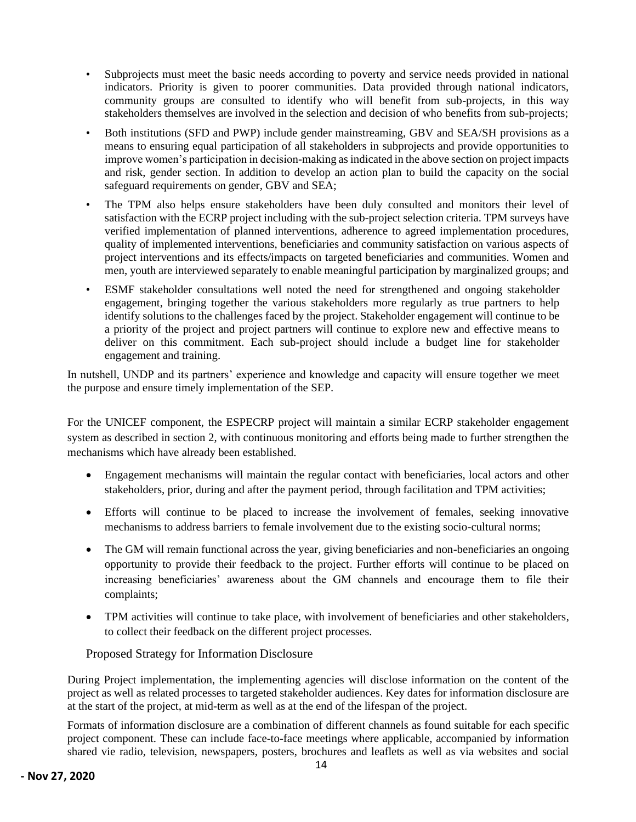- Subprojects must meet the basic needs according to poverty and service needs provided in national indicators. Priority is given to poorer communities. Data provided through national indicators, community groups are consulted to identify who will benefit from sub-projects, in this way stakeholders themselves are involved in the selection and decision of who benefits from sub-projects;
- Both institutions (SFD and PWP) include gender mainstreaming, GBV and SEA/SH provisions as a means to ensuring equal participation of all stakeholders in subprojects and provide opportunities to improve women's participation in decision-making as indicated in the above section on project impacts and risk, gender section. In addition to develop an action plan to build the capacity on the social safeguard requirements on gender, GBV and SEA;
- The TPM also helps ensure stakeholders have been duly consulted and monitors their level of satisfaction with the ECRP project including with the sub-project selection criteria. TPM surveys have verified implementation of planned interventions, adherence to agreed implementation procedures, quality of implemented interventions, beneficiaries and community satisfaction on various aspects of project interventions and its effects/impacts on targeted beneficiaries and communities. Women and men, youth are interviewed separately to enable meaningful participation by marginalized groups; and
- ESMF stakeholder consultations well noted the need for strengthened and ongoing stakeholder engagement, bringing together the various stakeholders more regularly as true partners to help identify solutions to the challenges faced by the project. Stakeholder engagement will continue to be a priority of the project and project partners will continue to explore new and effective means to deliver on this commitment. Each sub-project should include a budget line for stakeholder engagement and training.

In nutshell, UNDP and its partners' experience and knowledge and capacity will ensure together we meet the purpose and ensure timely implementation of the SEP.

For the UNICEF component, the ESPECRP project will maintain a similar ECRP stakeholder engagement system as described in section 2, with continuous monitoring and efforts being made to further strengthen the mechanisms which have already been established.

- Engagement mechanisms will maintain the regular contact with beneficiaries, local actors and other stakeholders, prior, during and after the payment period, through facilitation and TPM activities;
- Efforts will continue to be placed to increase the involvement of females, seeking innovative mechanisms to address barriers to female involvement due to the existing socio-cultural norms;
- The GM will remain functional across the year, giving beneficiaries and non-beneficiaries an ongoing opportunity to provide their feedback to the project. Further efforts will continue to be placed on increasing beneficiaries' awareness about the GM channels and encourage them to file their complaints;
- TPM activities will continue to take place, with involvement of beneficiaries and other stakeholders, to collect their feedback on the different project processes.

<span id="page-14-0"></span>Proposed Strategy for Information Disclosure

During Project implementation, the implementing agencies will disclose information on the content of the project as well as related processes to targeted stakeholder audiences. Key dates for information disclosure are at the start of the project, at mid-term as well as at the end of the lifespan of the project.

Formats of information disclosure are a combination of different channels as found suitable for each specific project component. These can include face-to-face meetings where applicable, accompanied by information shared vie radio, television, newspapers, posters, brochures and leaflets as well as via websites and social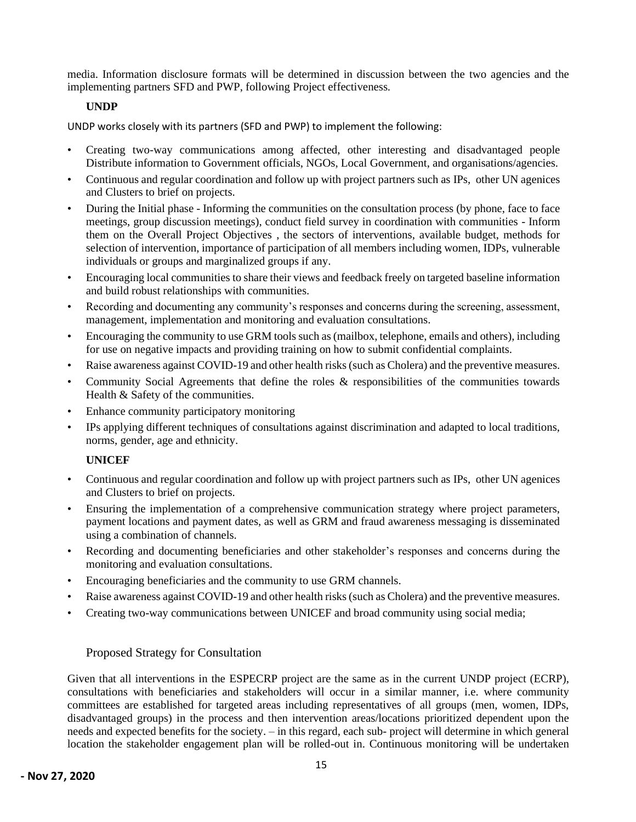media. Information disclosure formats will be determined in discussion between the two agencies and the implementing partners SFD and PWP, following Project effectiveness.

#### <span id="page-15-0"></span>**UNDP**

UNDP works closely with its partners (SFD and PWP) to implement the following:

- Creating two-way communications among affected, other interesting and disadvantaged people Distribute information to Government officials, NGOs, Local Government, and organisations/agencies.
- Continuous and regular coordination and follow up with project partners such as IPs, other UN agenices and Clusters to brief on projects.
- During the Initial phase Informing the communities on the consultation process (by phone, face to face meetings, group discussion meetings), conduct field survey in coordination with communities - Inform them on the Overall Project Objectives , the sectors of interventions, available budget, methods for selection of intervention, importance of participation of all members including women, IDPs, vulnerable individuals or groups and marginalized groups if any.
- Encouraging local communities to share their views and feedback freely on targeted baseline information and build robust relationships with communities.
- Recording and documenting any community's responses and concerns during the screening, assessment, management, implementation and monitoring and evaluation consultations.
- Encouraging the community to use GRM tools such as (mailbox, telephone, emails and others), including for use on negative impacts and providing training on how to submit confidential complaints.
- Raise awareness against COVID-19 and other health risks (such as Cholera) and the preventive measures.
- Community Social Agreements that define the roles & responsibilities of the communities towards Health & Safety of the communities.
- Enhance community participatory monitoring
- IPs applying different techniques of consultations against discrimination and adapted to local traditions, norms, gender, age and ethnicity.

### <span id="page-15-1"></span>**UNICEF**

- Continuous and regular coordination and follow up with project partners such as IPs, other UN agenices and Clusters to brief on projects.
- Ensuring the implementation of a comprehensive communication strategy where project parameters, payment locations and payment dates, as well as GRM and fraud awareness messaging is disseminated using a combination of channels.
- Recording and documenting beneficiaries and other stakeholder's responses and concerns during the monitoring and evaluation consultations.
- Encouraging beneficiaries and the community to use GRM channels.
- Raise awareness against COVID-19 and other health risks (such as Cholera) and the preventive measures.
- Creating two-way communications between UNICEF and broad community using social media;

### <span id="page-15-2"></span>Proposed Strategy for Consultation

Given that all interventions in the ESPECRP project are the same as in the current UNDP project (ECRP), consultations with beneficiaries and stakeholders will occur in a similar manner, i.e. where community committees are established for targeted areas including representatives of all groups (men, women, IDPs, disadvantaged groups) in the process and then intervention areas/locations prioritized dependent upon the needs and expected benefits for the society. – in this regard, each sub- project will determine in which general location the stakeholder engagement plan will be rolled-out in. Continuous monitoring will be undertaken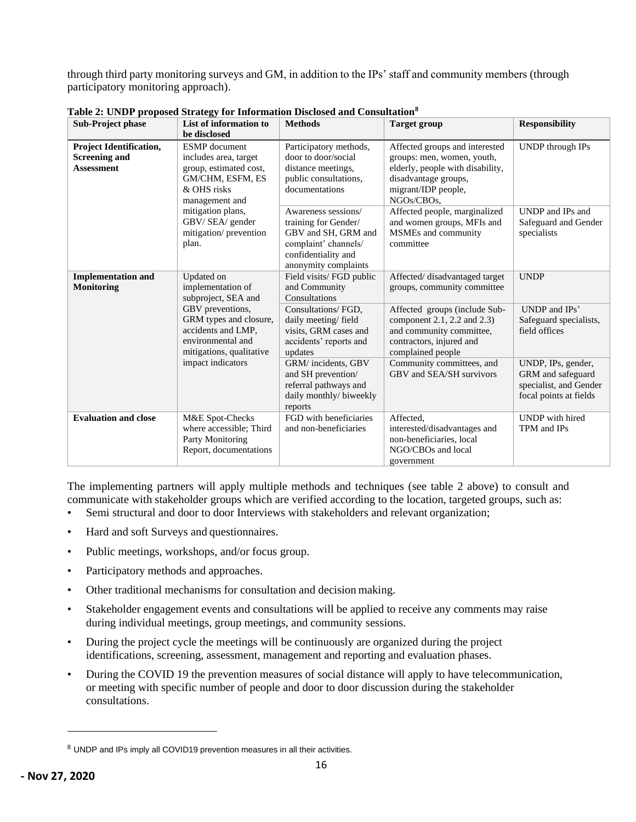through third party monitoring surveys and GM, in addition to the IPs' staff and community members (through participatory monitoring approach).

| <b>Sub-Project phase</b>                                                    | List of information to                                                                                                       | <b>Methods</b>                                                                                                                            | <b>Target group</b>                                                                                                                                           | <b>Responsibility</b>                                                                       |
|-----------------------------------------------------------------------------|------------------------------------------------------------------------------------------------------------------------------|-------------------------------------------------------------------------------------------------------------------------------------------|---------------------------------------------------------------------------------------------------------------------------------------------------------------|---------------------------------------------------------------------------------------------|
|                                                                             | be disclosed                                                                                                                 |                                                                                                                                           |                                                                                                                                                               |                                                                                             |
| <b>Project Identification,</b><br><b>Screening and</b><br><b>Assessment</b> | <b>ESMP</b> document<br>includes area, target<br>group, estimated cost,<br>GM/CHM, ESFM, ES<br>& OHS risks<br>management and | Participatory methods,<br>door to door/social<br>distance meetings,<br>public consultations,<br>documentations                            | Affected groups and interested<br>groups: men, women, youth,<br>elderly, people with disability,<br>disadvantage groups,<br>migrant/IDP people,<br>NGOs/CBOs, | UNDP through IPs                                                                            |
|                                                                             | mitigation plans,<br>GBV/SEA/ gender<br>mitigation/prevention<br>plan.                                                       | Awareness sessions/<br>training for Gender/<br>GBV and SH, GRM and<br>complaint' channels/<br>confidentiality and<br>anonymity complaints | Affected people, marginalized<br>and women groups, MFIs and<br>MSMEs and community<br>committee                                                               | UNDP and IPs and<br>Safeguard and Gender<br>specialists                                     |
| <b>Implementation and</b><br><b>Monitoring</b>                              | Updated on<br>implementation of<br>subproject, SEA and                                                                       | Field visits/ FGD public<br>and Community<br>Consultations                                                                                | Affected/disadvantaged target<br>groups, community committee                                                                                                  | <b>UNDP</b>                                                                                 |
|                                                                             | GBV preventions,<br>GRM types and closure,<br>accidents and LMP,<br>environmental and<br>mitigations, qualitative            | Consultations/ FGD,<br>daily meeting/field<br>visits, GRM cases and<br>accidents' reports and<br>updates                                  | Affected groups (include Sub-<br>component 2.1, 2.2 and 2.3)<br>and community committee,<br>contractors, injured and<br>complained people                     | UNDP and IPs'<br>Safeguard specialists,<br>field offices                                    |
|                                                                             | impact indicators                                                                                                            | GRM/incidents, GBV<br>and SH prevention/<br>referral pathways and<br>daily monthly/ biweekly<br>reports                                   | Community committees, and<br>GBV and SEA/SH survivors                                                                                                         | UNDP, IPs, gender,<br>GRM and safeguard<br>specialist, and Gender<br>focal points at fields |
| <b>Evaluation and close</b>                                                 | M&E Spot-Checks<br>where accessible; Third<br>Party Monitoring<br>Report, documentations                                     | FGD with beneficiaries<br>and non-beneficiaries                                                                                           | Affected,<br>interested/disadvantages and<br>non-beneficiaries, local<br>NGO/CBOs and local<br>government                                                     | <b>UNDP</b> with hired<br>TPM and IPs                                                       |

**Table 2: UNDP proposed Strategy for Information Disclosed and Consultation<sup>8</sup>**

The implementing partners will apply multiple methods and techniques (see table 2 above) to consult and communicate with stakeholder groups which are verified according to the location, targeted groups, such as:

- Semi structural and door to door Interviews with stakeholders and relevant organization;
- Hard and soft Surveys and questionnaires.
- Public meetings, workshops, and/or focus group.
- Participatory methods and approaches.
- Other traditional mechanisms for consultation and decision making.
- Stakeholder engagement events and consultations will be applied to receive any comments may raise during individual meetings, group meetings, and community sessions.
- During the project cycle the meetings will be continuously are organized during the project identifications, screening, assessment, management and reporting and evaluation phases.
- During the COVID 19 the prevention measures of social distance will apply to have telecommunication, or meeting with specific number of people and door to door discussion during the stakeholder consultations.

<sup>8</sup> UNDP and IPs imply all COVID19 prevention measures in all their activities.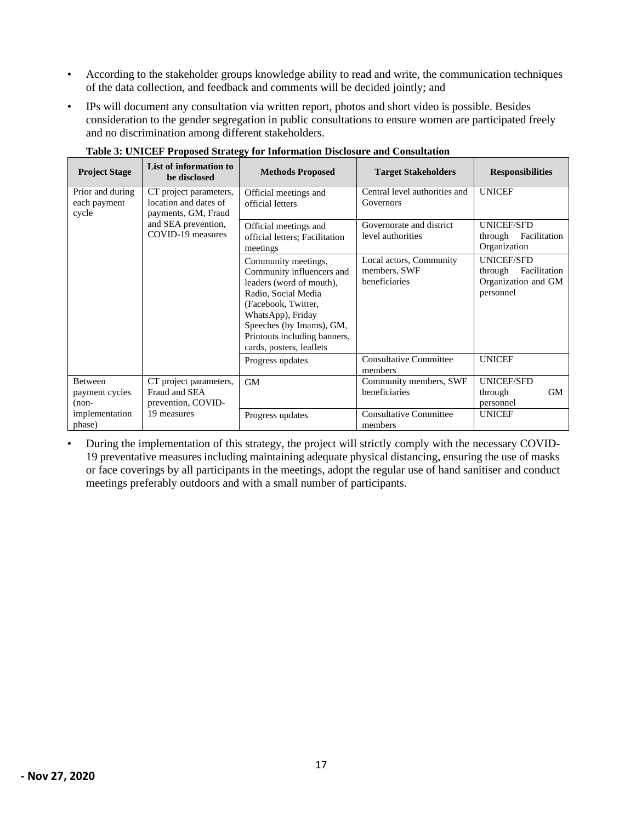- According to the stakeholder groups knowledge ability to read and write, the communication techniques of the data collection, and feedback and comments will be decided jointly; and
- IPs will document any consultation via written report, photos and short video is possible. Besides consideration to the gender segregation in public consultations to ensure women are participated freely and no discrimination among different stakeholders.

| <b>Project Stage</b>                      | List of information to<br>be disclosed                                 | <b>Methods Proposed</b>                                                                                                                                                                                                                 | <b>Target Stakeholders</b>                               | <b>Responsibilities</b>                                                          |
|-------------------------------------------|------------------------------------------------------------------------|-----------------------------------------------------------------------------------------------------------------------------------------------------------------------------------------------------------------------------------------|----------------------------------------------------------|----------------------------------------------------------------------------------|
| Prior and during<br>each payment<br>cycle | CT project parameters,<br>location and dates of<br>payments, GM, Fraud | Official meetings and<br>official letters                                                                                                                                                                                               | Central level authorities and<br>Governors               | <b>UNICEF</b>                                                                    |
|                                           | and SEA prevention,<br>COVID-19 measures                               | Official meetings and<br>official letters; Facilitation<br>meetings                                                                                                                                                                     | Governorate and district<br>level authorities            | <b>UNICEF/SFD</b><br>Facilitation<br>through<br>Organization                     |
|                                           |                                                                        | Community meetings,<br>Community influencers and<br>leaders (word of mouth),<br>Radio, Social Media<br>(Facebook, Twitter,<br>WhatsApp), Friday<br>Speeches (by Imams), GM,<br>Printouts including banners,<br>cards, posters, leaflets | Local actors, Community<br>members, SWF<br>beneficiaries | <b>UNICEF/SFD</b><br>Facilitation<br>through<br>Organization and GM<br>personnel |
|                                           |                                                                        | Progress updates                                                                                                                                                                                                                        | <b>Consultative Committee</b><br>members                 | <b>UNICEF</b>                                                                    |
| Between<br>payment cycles<br>$(non-$      | CT project parameters,<br>Fraud and SEA<br>prevention, COVID-          | <b>GM</b>                                                                                                                                                                                                                               | Community members, SWF<br>beneficiaries                  | <b>UNICEF/SFD</b><br><b>GM</b><br>through<br>personnel                           |
| implementation<br>phase)                  | 19 measures                                                            | Progress updates                                                                                                                                                                                                                        | <b>Consultative Committee</b><br>members                 | <b>UNICEF</b>                                                                    |

**Table 3: UNICEF Proposed Strategy for Information Disclosure and Consultation**

• During the implementation of this strategy, the project will strictly comply with the necessary COVID-19 preventative measures including maintaining adequate physical distancing, ensuring the use of masks or face coverings by all participants in the meetings, adopt the regular use of hand sanitiser and conduct meetings preferably outdoors and with a small number of participants.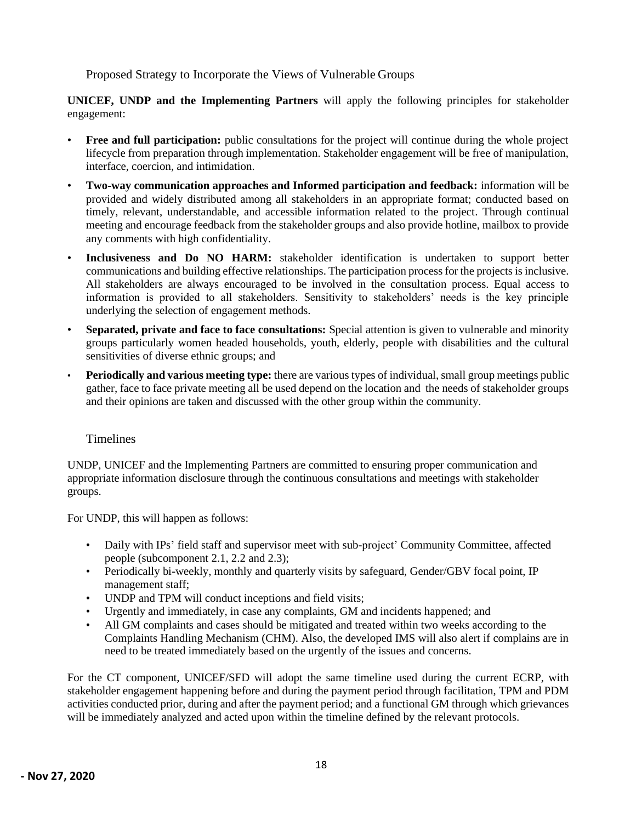<span id="page-18-0"></span>Proposed Strategy to Incorporate the Views of Vulnerable Groups

**UNICEF, UNDP and the Implementing Partners** will apply the following principles for stakeholder engagement:

- **Free and full participation:** public consultations for the project will continue during the whole project lifecycle from preparation through implementation. Stakeholder engagement will be free of manipulation, interface, coercion, and intimidation.
- **Two-way communication approaches and Informed participation and feedback:** information will be provided and widely distributed among all stakeholders in an appropriate format; conducted based on timely, relevant, understandable, and accessible information related to the project. Through continual meeting and encourage feedback from the stakeholder groups and also provide hotline, mailbox to provide any comments with high confidentiality.
- **Inclusiveness and Do NO HARM:** stakeholder identification is undertaken to support better communications and building effective relationships. The participation process for the projects is inclusive. All stakeholders are always encouraged to be involved in the consultation process. Equal access to information is provided to all stakeholders. Sensitivity to stakeholders' needs is the key principle underlying the selection of engagement methods.
- **Separated, private and face to face consultations:** Special attention is given to vulnerable and minority groups particularly women headed households, youth, elderly, people with disabilities and the cultural sensitivities of diverse ethnic groups; and
- **Periodically and various meeting type:** there are various types of individual, small group meetings public gather, face to face private meeting all be used depend on the location and the needs of stakeholder groups and their opinions are taken and discussed with the other group within the community.

### <span id="page-18-1"></span>**Timelines**

UNDP, UNICEF and the Implementing Partners are committed to ensuring proper communication and appropriate information disclosure through the continuous consultations and meetings with stakeholder groups.

For UNDP, this will happen as follows:

- Daily with IPs' field staff and supervisor meet with sub-project' Community Committee, affected people (subcomponent 2.1, 2.2 and 2.3);
- Periodically bi-weekly, monthly and quarterly visits by safeguard, Gender/GBV focal point, IP management staff;
- UNDP and TPM will conduct inceptions and field visits;
- Urgently and immediately, in case any complaints, GM and incidents happened; and
- All GM complaints and cases should be mitigated and treated within two weeks according to the Complaints Handling Mechanism (CHM). Also, the developed IMS will also alert if complains are in need to be treated immediately based on the urgently of the issues and concerns.

For the CT component, UNICEF/SFD will adopt the same timeline used during the current ECRP, with stakeholder engagement happening before and during the payment period through facilitation, TPM and PDM activities conducted prior, during and after the payment period; and a functional GM through which grievances will be immediately analyzed and acted upon within the timeline defined by the relevant protocols.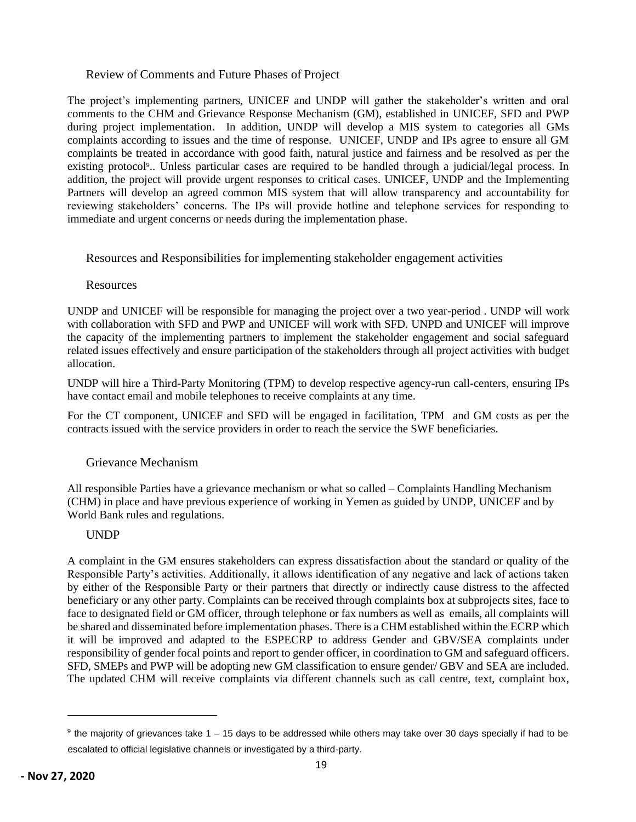### <span id="page-19-0"></span>Review of Comments and Future Phases of Project

The project's implementing partners, UNICEF and UNDP will gather the stakeholder's written and oral comments to the CHM and Grievance Response Mechanism (GM), established in UNICEF, SFD and PWP during project implementation. In addition, UNDP will develop a MIS system to categories all GMs complaints according to issues and the time of response. UNICEF, UNDP and IPs agree to ensure all GM complaints be treated in accordance with good faith, natural justice and fairness and be resolved as per the existing protocol<sup>9</sup>.. Unless particular cases are required to be handled through a judicial/legal process. In addition, the project will provide urgent responses to critical cases. UNICEF, UNDP and the Implementing Partners will develop an agreed common MIS system that will allow transparency and accountability for reviewing stakeholders' concerns. The IPs will provide hotline and telephone services for responding to immediate and urgent concerns or needs during the implementation phase.

<span id="page-19-1"></span>Resources and Responsibilities for implementing stakeholder engagement activities

### <span id="page-19-2"></span>**Resources**

UNDP and UNICEF will be responsible for managing the project over a two year-period . UNDP will work with collaboration with SFD and PWP and UNICEF will work with SFD. UNPD and UNICEF will improve the capacity of the implementing partners to implement the stakeholder engagement and social safeguard related issues effectively and ensure participation of the stakeholders through all project activities with budget allocation.

UNDP will hire a Third-Party Monitoring (TPM) to develop respective agency-run call-centers, ensuring IPs have contact email and mobile telephones to receive complaints at any time.

For the CT component, UNICEF and SFD will be engaged in facilitation, TPM and GM costs as per the contracts issued with the service providers in order to reach the service the SWF beneficiaries.

### <span id="page-19-3"></span>Grievance Mechanism

All responsible Parties have a grievance mechanism or what so called – Complaints Handling Mechanism (CHM) in place and have previous experience of working in Yemen as guided by UNDP, UNICEF and by World Bank rules and regulations.

### <span id="page-19-4"></span>UNDP

A complaint in the GM ensures stakeholders can express dissatisfaction about the standard or quality of the Responsible Party's activities. Additionally, it allows identification of any negative and lack of actions taken by either of the Responsible Party or their partners that directly or indirectly cause distress to the affected beneficiary or any other party. Complaints can be received through complaints box at subprojects sites, face to face to designated field or GM officer, through telephone or fax numbers as well as emails, all complaints will be shared and disseminated before implementation phases. There is a CHM established within the ECRP which it will be improved and adapted to the ESPECRP to address Gender and GBV/SEA complaints under responsibility of gender focal points and report to gender officer, in coordination to GM and safeguard officers. SFD, SMEPs and PWP will be adopting new GM classification to ensure gender/ GBV and SEA are included. The updated CHM will receive complaints via different channels such as call centre, text, complaint box,

 $9$  the majority of grievances take 1 – 15 days to be addressed while others may take over 30 days specially if had to be escalated to official legislative channels or investigated by a third-party.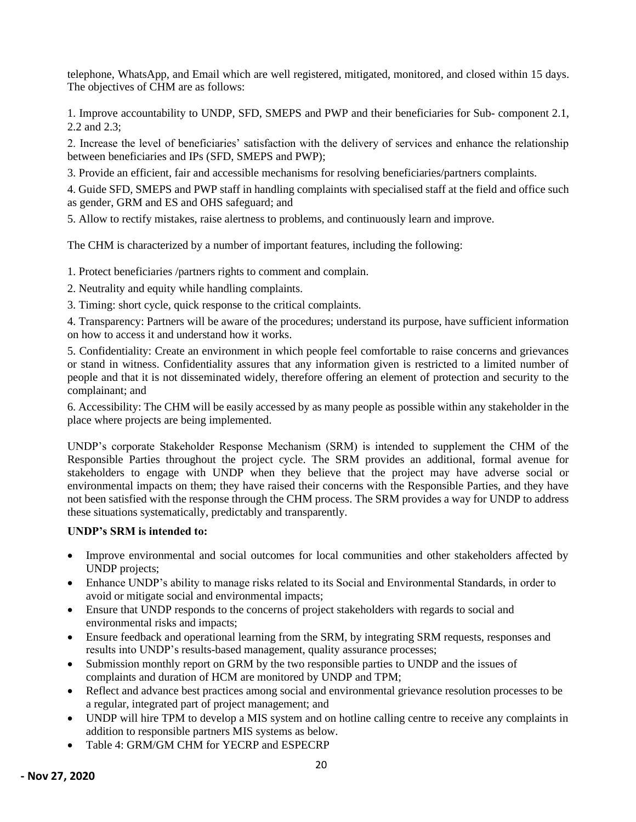telephone, WhatsApp, and Email which are well registered, mitigated, monitored, and closed within 15 days. The objectives of CHM are as follows:

1. Improve accountability to UNDP, SFD, SMEPS and PWP and their beneficiaries for Sub- component 2.1, 2.2 and 2.3;

2. Increase the level of beneficiaries' satisfaction with the delivery of services and enhance the relationship between beneficiaries and IPs (SFD, SMEPS and PWP);

3. Provide an efficient, fair and accessible mechanisms for resolving beneficiaries/partners complaints.

4. Guide SFD, SMEPS and PWP staff in handling complaints with specialised staff at the field and office such as gender, GRM and ES and OHS safeguard; and

5. Allow to rectify mistakes, raise alertness to problems, and continuously learn and improve.

The CHM is characterized by a number of important features, including the following:

1. Protect beneficiaries /partners rights to comment and complain.

2. Neutrality and equity while handling complaints.

3. Timing: short cycle, quick response to the critical complaints.

4. Transparency: Partners will be aware of the procedures; understand its purpose, have sufficient information on how to access it and understand how it works.

5. Confidentiality: Create an environment in which people feel comfortable to raise concerns and grievances or stand in witness. Confidentiality assures that any information given is restricted to a limited number of people and that it is not disseminated widely, therefore offering an element of protection and security to the complainant; and

6. Accessibility: The CHM will be easily accessed by as many people as possible within any stakeholder in the place where projects are being implemented.

UNDP's corporate Stakeholder Response Mechanism (SRM) is intended to supplement the CHM of the Responsible Parties throughout the project cycle. The SRM provides an additional, formal avenue for stakeholders to engage with UNDP when they believe that the project may have adverse social or environmental impacts on them; they have raised their concerns with the Responsible Parties, and they have not been satisfied with the response through the CHM process. The SRM provides a way for UNDP to address these situations systematically, predictably and transparently.

#### **UNDP's SRM is intended to:**

- Improve environmental and social outcomes for local communities and other stakeholders affected by UNDP projects;
- Enhance UNDP's ability to manage risks related to its Social and Environmental Standards, in order to avoid or mitigate social and environmental impacts;
- Ensure that UNDP responds to the concerns of project stakeholders with regards to social and environmental risks and impacts;
- Ensure feedback and operational learning from the SRM, by integrating SRM requests, responses and results into UNDP's results-based management, quality assurance processes;
- Submission monthly report on GRM by the two responsible parties to UNDP and the issues of complaints and duration of HCM are monitored by UNDP and TPM;
- Reflect and advance best practices among social and environmental grievance resolution processes to be a regular, integrated part of project management; and
- UNDP will hire TPM to develop a MIS system and on hotline calling centre to receive any complaints in addition to responsible partners MIS systems as below.
- Table 4: GRM/GM CHM for YECRP and ESPECRP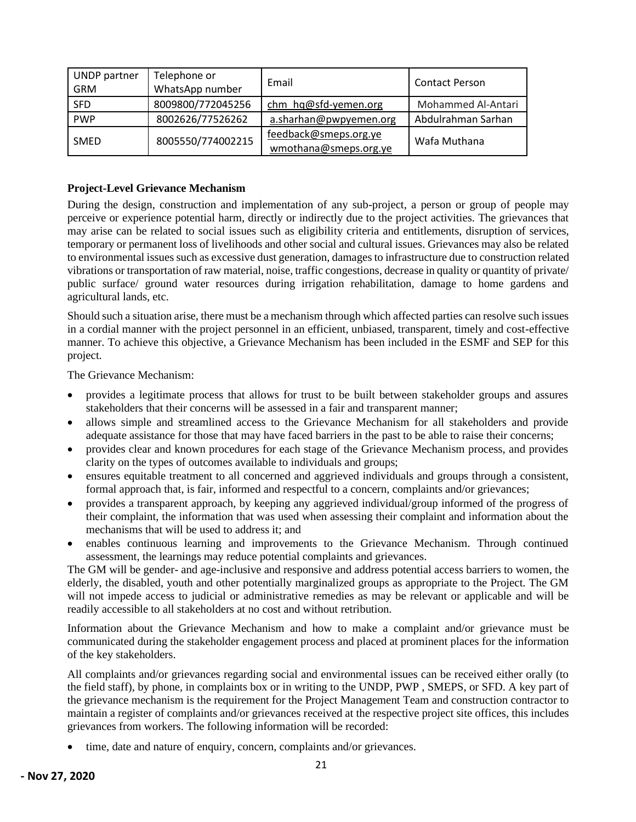| UNDP partner<br><b>GRM</b> | Telephone or<br>WhatsApp number | Email                                          | <b>Contact Person</b> |
|----------------------------|---------------------------------|------------------------------------------------|-----------------------|
| <b>SFD</b>                 | 8009800/772045256               | chm hq@sfd-yemen.org                           | Mohammed Al-Antari    |
| <b>PWP</b>                 | 8002626/77526262                | a.sharhan@pwpyemen.org                         | Abdulrahman Sarhan    |
| SMED                       | 8005550/774002215               | feedback@smeps.org.ye<br>wmothana@smeps.org.ye | Wafa Muthana          |

#### **Project-Level Grievance Mechanism**

During the design, construction and implementation of any sub-project, a person or group of people may perceive or experience potential harm, directly or indirectly due to the project activities. The grievances that may arise can be related to social issues such as eligibility criteria and entitlements, disruption of services, temporary or permanent loss of livelihoods and other social and cultural issues. Grievances may also be related to environmental issues such as excessive dust generation, damages to infrastructure due to construction related vibrations or transportation of raw material, noise, traffic congestions, decrease in quality or quantity of private/ public surface/ ground water resources during irrigation rehabilitation, damage to home gardens and agricultural lands, etc.

Should such a situation arise, there must be a mechanism through which affected parties can resolve such issues in a cordial manner with the project personnel in an efficient, unbiased, transparent, timely and cost-effective manner. To achieve this objective, a Grievance Mechanism has been included in the ESMF and SEP for this project.

The Grievance Mechanism:

- provides a legitimate process that allows for trust to be built between stakeholder groups and assures stakeholders that their concerns will be assessed in a fair and transparent manner;
- allows simple and streamlined access to the Grievance Mechanism for all stakeholders and provide adequate assistance for those that may have faced barriers in the past to be able to raise their concerns;
- provides clear and known procedures for each stage of the Grievance Mechanism process, and provides clarity on the types of outcomes available to individuals and groups;
- ensures equitable treatment to all concerned and aggrieved individuals and groups through a consistent, formal approach that, is fair, informed and respectful to a concern, complaints and/or grievances;
- provides a transparent approach, by keeping any aggrieved individual/group informed of the progress of their complaint, the information that was used when assessing their complaint and information about the mechanisms that will be used to address it; and
- enables continuous learning and improvements to the Grievance Mechanism. Through continued assessment, the learnings may reduce potential complaints and grievances.

The GM will be gender- and age-inclusive and responsive and address potential access barriers to women, the elderly, the disabled, youth and other potentially marginalized groups as appropriate to the Project. The GM will not impede access to judicial or administrative remedies as may be relevant or applicable and will be readily accessible to all stakeholders at no cost and without retribution.

Information about the Grievance Mechanism and how to make a complaint and/or grievance must be communicated during the stakeholder engagement process and placed at prominent places for the information of the key stakeholders.

All complaints and/or grievances regarding social and environmental issues can be received either orally (to the field staff), by phone, in complaints box or in writing to the UNDP, PWP , SMEPS, or SFD. A key part of the grievance mechanism is the requirement for the Project Management Team and construction contractor to maintain a register of complaints and/or grievances received at the respective project site offices, this includes grievances from workers. The following information will be recorded:

time, date and nature of enquiry, concern, complaints and/or grievances.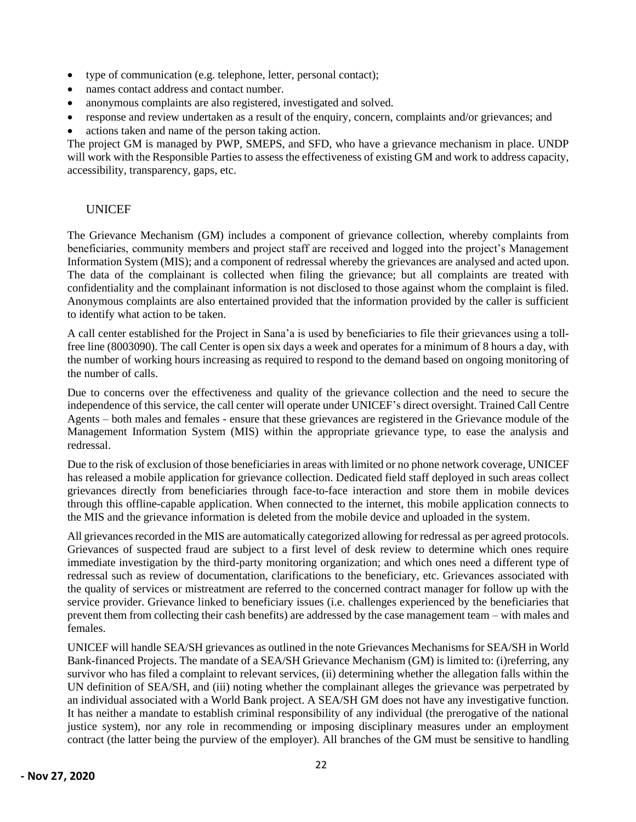- type of communication (e.g. telephone, letter, personal contact);
- names contact address and contact number.
- anonymous complaints are also registered, investigated and solved.
- response and review undertaken as a result of the enquiry, concern, complaints and/or grievances; and
- actions taken and name of the person taking action.

The project GM is managed by PWP, SMEPS, and SFD, who have a grievance mechanism in place. UNDP will work with the Responsible Parties to assess the effectiveness of existing GM and work to address capacity, accessibility, transparency, gaps, etc.

### <span id="page-22-0"></span>**UNICEF**

The Grievance Mechanism (GM) includes a component of grievance collection, whereby complaints from beneficiaries, community members and project staff are received and logged into the project's Management Information System (MIS); and a component of redressal whereby the grievances are analysed and acted upon. The data of the complainant is collected when filing the grievance; but all complaints are treated with confidentiality and the complainant information is not disclosed to those against whom the complaint is filed. Anonymous complaints are also entertained provided that the information provided by the caller is sufficient to identify what action to be taken.

A call center established for the Project in Sana'a is used by beneficiaries to file their grievances using a tollfree line (8003090). The call Center is open six days a week and operates for a minimum of 8 hours a day, with the number of working hours increasing as required to respond to the demand based on ongoing monitoring of the number of calls.

Due to concerns over the effectiveness and quality of the grievance collection and the need to secure the independence of this service, the call center will operate under UNICEF's direct oversight. Trained Call Centre Agents – both males and females - ensure that these grievances are registered in the Grievance module of the Management Information System (MIS) within the appropriate grievance type, to ease the analysis and redressal.

Due to the risk of exclusion of those beneficiaries in areas with limited or no phone network coverage, UNICEF has released a mobile application for grievance collection. Dedicated field staff deployed in such areas collect grievances directly from beneficiaries through face-to-face interaction and store them in mobile devices through this offline-capable application. When connected to the internet, this mobile application connects to the MIS and the grievance information is deleted from the mobile device and uploaded in the system.

All grievances recorded in the MIS are automatically categorized allowing for redressal as per agreed protocols. Grievances of suspected fraud are subject to a first level of desk review to determine which ones require immediate investigation by the third-party monitoring organization; and which ones need a different type of redressal such as review of documentation, clarifications to the beneficiary, etc. Grievances associated with the quality of services or mistreatment are referred to the concerned contract manager for follow up with the service provider. Grievance linked to beneficiary issues (i.e. challenges experienced by the beneficiaries that prevent them from collecting their cash benefits) are addressed by the case management team – with males and females.

UNICEF will handle SEA/SH grievances as outlined in the not[e Grievances Mechanisms for SEA/SH in World](https://worldbankgroup.sharepoint.com/sites/gsg/SPS/Documents/2.%20Focus%20Areas%20Resources%20(KSB%20Resources)/Gender-Based%20Violence/GBV%20Guidance%20Tools/GBV%20Risk%20Assessments%20and%20Mitigation/Grievance%20Management%20Systems/GM%20for%20SEA&SH%20in%20World%20Bank%20projects/2020%20GM%20for%20SEA&SH%20in%20World%20Bank-financed%20Projects.pdf)  [Bank-financed Projects.](https://worldbankgroup.sharepoint.com/sites/gsg/SPS/Documents/2.%20Focus%20Areas%20Resources%20(KSB%20Resources)/Gender-Based%20Violence/GBV%20Guidance%20Tools/GBV%20Risk%20Assessments%20and%20Mitigation/Grievance%20Management%20Systems/GM%20for%20SEA&SH%20in%20World%20Bank%20projects/2020%20GM%20for%20SEA&SH%20in%20World%20Bank-financed%20Projects.pdf) The mandate of a SEA/SH Grievance Mechanism (GM) is limited to: (i)referring, any survivor who has filed a complaint to relevant services, (ii) determining whether the allegation falls within the UN definition of SEA/SH, and (iii) noting whether the complainant alleges the grievance was perpetrated by an individual associated with a World Bank project. A SEA/SH GM does not have any investigative function. It has neither a mandate to establish criminal responsibility of any individual (the prerogative of the national justice system), nor any role in recommending or imposing disciplinary measures under an employment contract (the latter being the purview of the employer). All branches of the GM must be sensitive to handling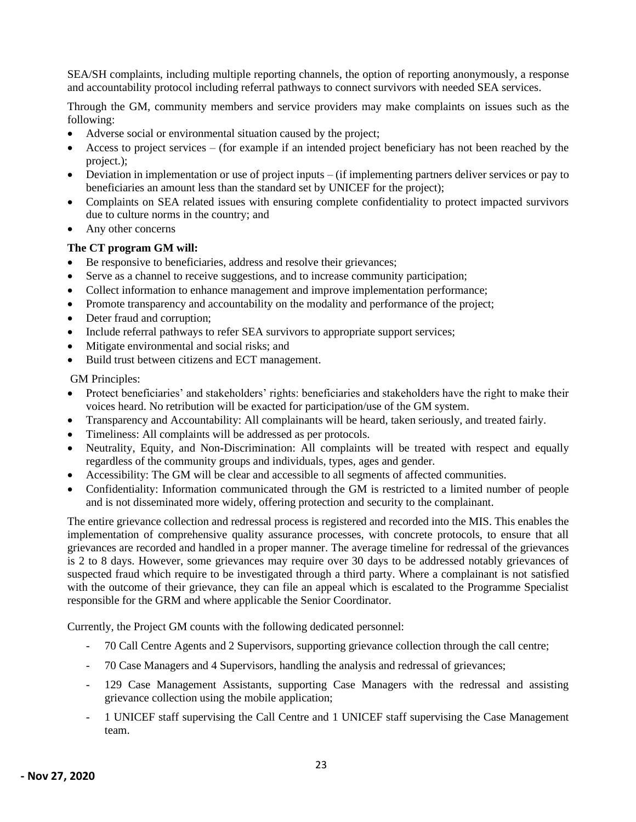SEA/SH complaints, including multiple reporting channels, the option of reporting anonymously, a response and accountability protocol including referral pathways to connect survivors with needed SEA services.

Through the GM, community members and service providers may make complaints on issues such as the following:

- Adverse social or environmental situation caused by the project;
- Access to project services (for example if an intended project beneficiary has not been reached by the project.);
- Deviation in implementation or use of project inputs (if implementing partners deliver services or pay to beneficiaries an amount less than the standard set by UNICEF for the project);
- Complaints on SEA related issues with ensuring complete confidentiality to protect impacted survivors due to culture norms in the country; and
- Any other concerns

### **The CT program GM will:**

- Be responsive to beneficiaries, address and resolve their grievances;
- Serve as a channel to receive suggestions, and to increase community participation;
- Collect information to enhance management and improve implementation performance;
- Promote transparency and accountability on the modality and performance of the project;
- Deter fraud and corruption;
- Include referral pathways to refer SEA survivors to appropriate support services;
- Mitigate environmental and social risks; and
- Build trust between citizens and ECT management.

GM Principles:

- Protect beneficiaries' and stakeholders' rights: beneficiaries and stakeholders have the right to make their voices heard. No retribution will be exacted for participation/use of the GM system.
- Transparency and Accountability: All complainants will be heard, taken seriously, and treated fairly.
- Timeliness: All complaints will be addressed as per protocols.
- Neutrality, Equity, and Non-Discrimination: All complaints will be treated with respect and equally regardless of the community groups and individuals, types, ages and gender.
- Accessibility: The GM will be clear and accessible to all segments of affected communities.
- Confidentiality: Information communicated through the GM is restricted to a limited number of people and is not disseminated more widely, offering protection and security to the complainant.

The entire grievance collection and redressal process is registered and recorded into the MIS. This enables the implementation of comprehensive quality assurance processes, with concrete protocols, to ensure that all grievances are recorded and handled in a proper manner. The average timeline for redressal of the grievances is 2 to 8 days. However, some grievances may require over 30 days to be addressed notably grievances of suspected fraud which require to be investigated through a third party. Where a complainant is not satisfied with the outcome of their grievance, they can file an appeal which is escalated to the Programme Specialist responsible for the GRM and where applicable the Senior Coordinator.

Currently, the Project GM counts with the following dedicated personnel:

- 70 Call Centre Agents and 2 Supervisors, supporting grievance collection through the call centre;
- 70 Case Managers and 4 Supervisors, handling the analysis and redressal of grievances;
- 129 Case Management Assistants, supporting Case Managers with the redressal and assisting grievance collection using the mobile application;
- 1 UNICEF staff supervising the Call Centre and 1 UNICEF staff supervising the Case Management team.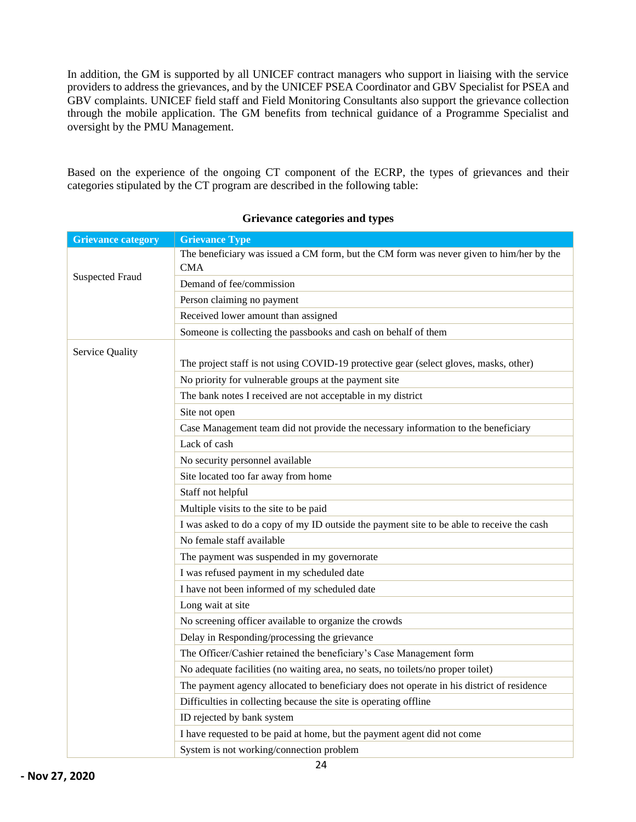In addition, the GM is supported by all UNICEF contract managers who support in liaising with the service providers to address the grievances, and by the UNICEF PSEA Coordinator and GBV Specialist for PSEA and GBV complaints. UNICEF field staff and Field Monitoring Consultants also support the grievance collection through the mobile application. The GM benefits from technical guidance of a Programme Specialist and oversight by the PMU Management.

Based on the experience of the ongoing CT component of the ECRP, the types of grievances and their categories stipulated by the CT program are described in the following table:

| <b>Grievance category</b>                                               | <b>Grievance Type</b>                                                                     |  |
|-------------------------------------------------------------------------|-------------------------------------------------------------------------------------------|--|
|                                                                         | The beneficiary was issued a CM form, but the CM form was never given to him/her by the   |  |
| <b>Suspected Fraud</b>                                                  | <b>CMA</b>                                                                                |  |
|                                                                         | Demand of fee/commission                                                                  |  |
|                                                                         | Person claiming no payment                                                                |  |
|                                                                         | Received lower amount than assigned                                                       |  |
|                                                                         | Someone is collecting the passbooks and cash on behalf of them                            |  |
| <b>Service Quality</b>                                                  |                                                                                           |  |
|                                                                         | The project staff is not using COVID-19 protective gear (select gloves, masks, other)     |  |
|                                                                         | No priority for vulnerable groups at the payment site                                     |  |
|                                                                         | The bank notes I received are not acceptable in my district                               |  |
|                                                                         | Site not open                                                                             |  |
|                                                                         | Case Management team did not provide the necessary information to the beneficiary         |  |
|                                                                         | Lack of cash                                                                              |  |
|                                                                         | No security personnel available                                                           |  |
|                                                                         | Site located too far away from home                                                       |  |
|                                                                         | Staff not helpful                                                                         |  |
|                                                                         | Multiple visits to the site to be paid                                                    |  |
|                                                                         | I was asked to do a copy of my ID outside the payment site to be able to receive the cash |  |
|                                                                         | No female staff available                                                                 |  |
|                                                                         | The payment was suspended in my governorate                                               |  |
|                                                                         | I was refused payment in my scheduled date                                                |  |
|                                                                         | I have not been informed of my scheduled date                                             |  |
|                                                                         | Long wait at site                                                                         |  |
|                                                                         | No screening officer available to organize the crowds                                     |  |
|                                                                         | Delay in Responding/processing the grievance                                              |  |
|                                                                         | The Officer/Cashier retained the beneficiary's Case Management form                       |  |
|                                                                         | No adequate facilities (no waiting area, no seats, no toilets/no proper toilet)           |  |
|                                                                         | The payment agency allocated to beneficiary does not operate in his district of residence |  |
|                                                                         | Difficulties in collecting because the site is operating offline                          |  |
|                                                                         | ID rejected by bank system                                                                |  |
| I have requested to be paid at home, but the payment agent did not come |                                                                                           |  |
|                                                                         | System is not working/connection problem                                                  |  |

#### **Grievance categories and types**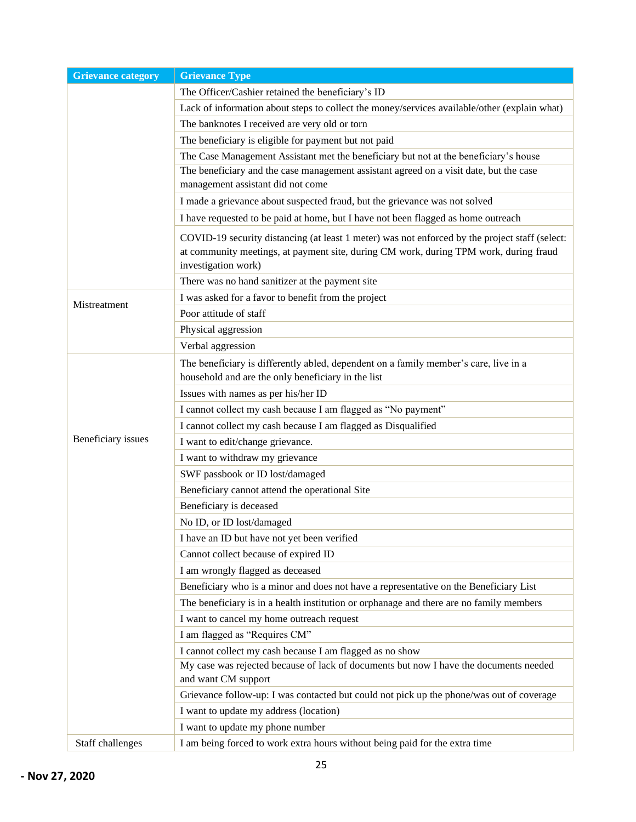| <b>Grievance category</b> | <b>Grievance Type</b>                                                                                                                                                                                          |
|---------------------------|----------------------------------------------------------------------------------------------------------------------------------------------------------------------------------------------------------------|
|                           | The Officer/Cashier retained the beneficiary's ID                                                                                                                                                              |
|                           | Lack of information about steps to collect the money/services available/other (explain what)                                                                                                                   |
|                           | The banknotes I received are very old or torn                                                                                                                                                                  |
|                           | The beneficiary is eligible for payment but not paid                                                                                                                                                           |
|                           | The Case Management Assistant met the beneficiary but not at the beneficiary's house                                                                                                                           |
|                           | The beneficiary and the case management assistant agreed on a visit date, but the case                                                                                                                         |
|                           | management assistant did not come                                                                                                                                                                              |
|                           | I made a grievance about suspected fraud, but the grievance was not solved                                                                                                                                     |
|                           | I have requested to be paid at home, but I have not been flagged as home outreach                                                                                                                              |
|                           | COVID-19 security distancing (at least 1 meter) was not enforced by the project staff (select:<br>at community meetings, at payment site, during CM work, during TPM work, during fraud<br>investigation work) |
|                           | There was no hand sanitizer at the payment site                                                                                                                                                                |
| Mistreatment              | I was asked for a favor to benefit from the project                                                                                                                                                            |
|                           | Poor attitude of staff                                                                                                                                                                                         |
|                           | Physical aggression                                                                                                                                                                                            |
|                           | Verbal aggression                                                                                                                                                                                              |
|                           | The beneficiary is differently abled, dependent on a family member's care, live in a                                                                                                                           |
|                           | household and are the only beneficiary in the list                                                                                                                                                             |
|                           | Issues with names as per his/her ID                                                                                                                                                                            |
|                           | I cannot collect my cash because I am flagged as "No payment"                                                                                                                                                  |
|                           | I cannot collect my cash because I am flagged as Disqualified                                                                                                                                                  |
| Beneficiary issues        | I want to edit/change grievance.                                                                                                                                                                               |
|                           | I want to withdraw my grievance                                                                                                                                                                                |
|                           | SWF passbook or ID lost/damaged                                                                                                                                                                                |
|                           | Beneficiary cannot attend the operational Site                                                                                                                                                                 |
|                           | Beneficiary is deceased                                                                                                                                                                                        |
|                           | No ID, or ID lost/damaged                                                                                                                                                                                      |
|                           | I have an ID but have not yet been verified                                                                                                                                                                    |
|                           | Cannot collect because of expired ID                                                                                                                                                                           |
|                           | I am wrongly flagged as deceased                                                                                                                                                                               |
|                           | Beneficiary who is a minor and does not have a representative on the Beneficiary List                                                                                                                          |
|                           | The beneficiary is in a health institution or orphanage and there are no family members                                                                                                                        |
|                           | I want to cancel my home outreach request                                                                                                                                                                      |
|                           | I am flagged as "Requires CM"                                                                                                                                                                                  |
|                           | I cannot collect my cash because I am flagged as no show                                                                                                                                                       |
|                           | My case was rejected because of lack of documents but now I have the documents needed                                                                                                                          |
|                           | and want CM support                                                                                                                                                                                            |
|                           | Grievance follow-up: I was contacted but could not pick up the phone/was out of coverage                                                                                                                       |
|                           | I want to update my address (location)                                                                                                                                                                         |
|                           | I want to update my phone number                                                                                                                                                                               |
| Staff challenges          | I am being forced to work extra hours without being paid for the extra time                                                                                                                                    |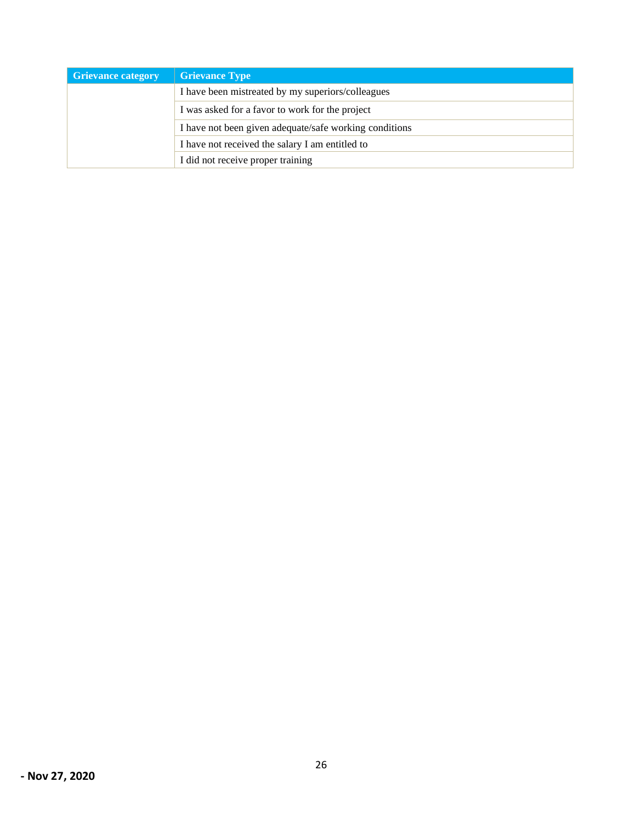| <b>Grievance category</b>                              | <b>Grievance Type</b>                           |
|--------------------------------------------------------|-------------------------------------------------|
| I have been mistreated by my superiors/colleagues      |                                                 |
|                                                        | I was asked for a favor to work for the project |
| I have not been given adequate/safe working conditions |                                                 |
| I have not received the salary I am entitled to        |                                                 |
|                                                        | I did not receive proper training               |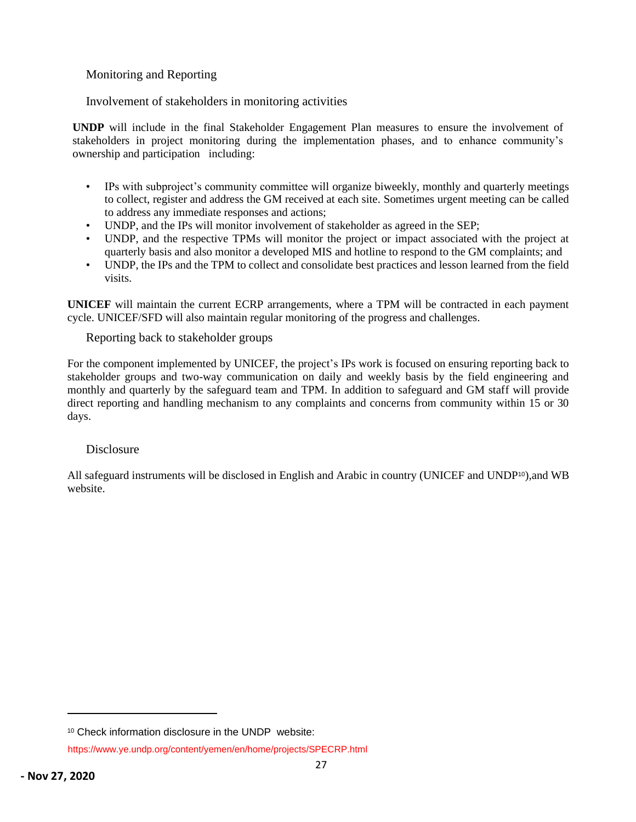### <span id="page-27-0"></span>Monitoring and Reporting

### <span id="page-27-1"></span>Involvement of stakeholders in monitoring activities

**UNDP** will include in the final Stakeholder Engagement Plan measures to ensure the involvement of stakeholders in project monitoring during the implementation phases, and to enhance community's ownership and participation including:

- IPs with subproject's community committee will organize biweekly, monthly and quarterly meetings to collect, register and address the GM received at each site. Sometimes urgent meeting can be called to address any immediate responses and actions;
- UNDP, and the IPs will monitor involvement of stakeholder as agreed in the SEP;
- UNDP, and the respective TPMs will monitor the project or impact associated with the project at quarterly basis and also monitor a developed MIS and hotline to respond to the GM complaints; and
- UNDP, the IPs and the TPM to collect and consolidate best practices and lesson learned from the field visits.

**UNICEF** will maintain the current ECRP arrangements, where a TPM will be contracted in each payment cycle. UNICEF/SFD will also maintain regular monitoring of the progress and challenges.

<span id="page-27-2"></span>Reporting back to stakeholder groups

For the component implemented by UNICEF, the project's IPs work is focused on ensuring reporting back to stakeholder groups and two-way communication on daily and weekly basis by the field engineering and monthly and quarterly by the safeguard team and TPM. In addition to safeguard and GM staff will provide direct reporting and handling mechanism to any complaints and concerns from community within 15 or 30 days.

#### Disclosure

All safeguard instruments will be disclosed in English and Arabic in country (UNICEF and UNDP10),and WB website.

<sup>10</sup> Check information disclosure in the UNDP website:

https://www.ye.undp.org/content/yemen/en/home/projects/SPECRP.html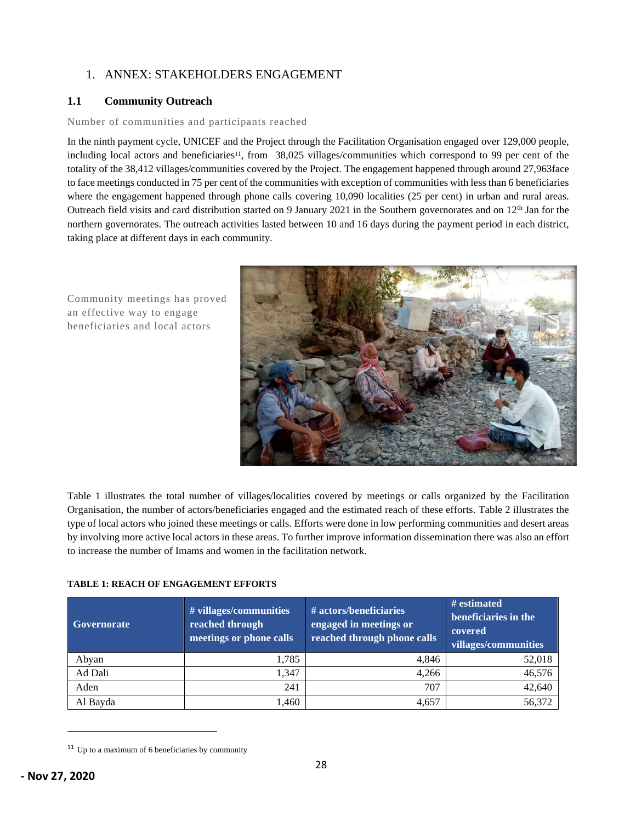### 1. ANNEX: STAKEHOLDERS ENGAGEMENT

#### **1.1 Community Outreach**

#### Number of communities and participants reached

In the ninth payment cycle, UNICEF and the Project through the Facilitation Organisation engaged over 129,000 people, including local actors and beneficiaries<sup>11</sup>, from  $38,025$  villages/communities which correspond to 99 per cent of the totality of the 38,412 villages/communities covered by the Project. The engagement happened through around 27,963face to face meetings conducted in 75 per cent of the communities with exception of communities with less than 6 beneficiaries where the engagement happened through phone calls covering 10,090 localities (25 per cent) in urban and rural areas. Outreach field visits and card distribution started on 9 January 2021 in the Southern governorates and on 12<sup>th</sup> Jan for the northern governorates. The outreach activities lasted between 10 and 16 days during the payment period in each district, taking place at different days in each community.

Community meetings has proved an effective way to engage beneficiaries and local actors



Table 1 illustrates the total number of villages/localities covered by meetings or calls organized by the Facilitation Organisation, the number of actors/beneficiaries engaged and the estimated reach of these efforts. Table 2 illustrates the type of local actors who joined these meetings or calls. Efforts were done in low performing communities and desert areas by involving more active local actors in these areas. To further improve information dissemination there was also an effort to increase the number of Imams and women in the facilitation network.

#### **TABLE 1: REACH OF ENGAGEMENT EFFORTS**

| <b>Governorate</b> | # villages/communities<br>reached through<br>meetings or phone calls | # actors/beneficiaries<br>engaged in meetings or<br>reached through phone calls | # estimated<br>beneficiaries in the<br>covered<br>villages/communities |
|--------------------|----------------------------------------------------------------------|---------------------------------------------------------------------------------|------------------------------------------------------------------------|
| Abyan              | 1,785                                                                | 4.846                                                                           | 52,018                                                                 |
| Ad Dali            | 1.347                                                                | 4.266                                                                           | 46,576                                                                 |
| Aden               | 241                                                                  | 707                                                                             | 42,640                                                                 |
| Al Bayda           | 1,460                                                                | 4.657                                                                           | 56,372                                                                 |

<sup>11</sup> Up to a maximum of 6 beneficiaries by community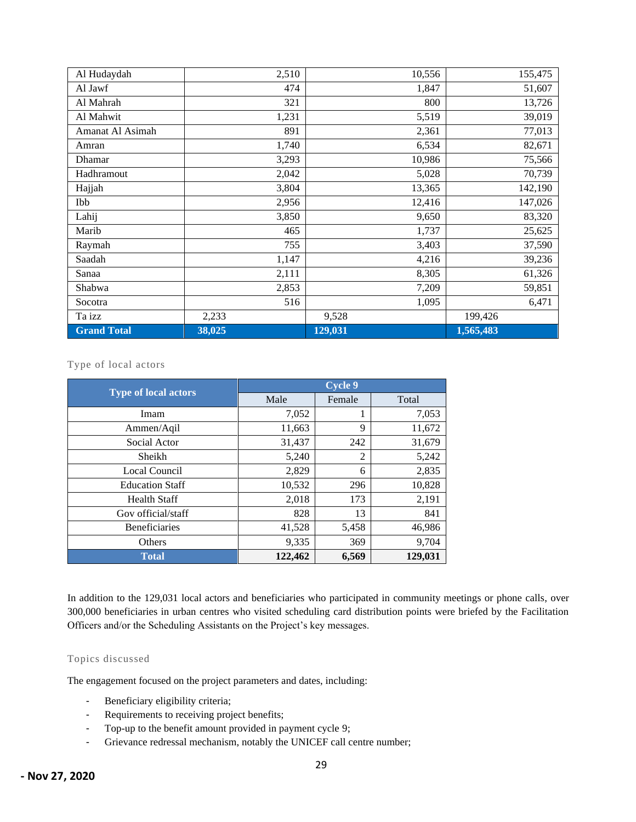| Al Hudaydah        | 2,510  | 10,556  | 155,475   |
|--------------------|--------|---------|-----------|
| Al Jawf            | 474    | 1,847   | 51,607    |
| Al Mahrah          | 321    | 800     | 13,726    |
| Al Mahwit          | 1,231  | 5,519   | 39,019    |
| Amanat Al Asimah   | 891    | 2,361   | 77,013    |
| Amran              | 1,740  | 6,534   | 82,671    |
| Dhamar             | 3,293  | 10,986  | 75,566    |
| Hadhramout         | 2,042  | 5,028   | 70,739    |
| Hajjah             | 3,804  | 13,365  | 142,190   |
| Ibb                | 2,956  | 12,416  | 147,026   |
| Lahij              | 3,850  | 9,650   | 83,320    |
| Marib              | 465    | 1,737   | 25,625    |
| Raymah             | 755    | 3,403   | 37,590    |
| Saadah             | 1,147  | 4,216   | 39,236    |
| Sanaa              | 2,111  | 8,305   | 61,326    |
| Shabwa             | 2,853  | 7,209   | 59,851    |
| Socotra            | 516    | 1,095   | 6,471     |
| Ta izz             | 2,233  | 9,528   | 199,426   |
| <b>Grand Total</b> | 38,025 | 129,031 | 1,565,483 |

#### Type of local actors

| <b>Type of local actors</b> | <b>Cycle 9</b> |        |         |
|-----------------------------|----------------|--------|---------|
|                             | Male           | Female | Total   |
| Imam                        | 7,052          | 1      | 7,053   |
| Ammen/Aqil                  | 11,663         | 9      | 11,672  |
| Social Actor                | 31,437         | 242    | 31,679  |
| Sheikh                      | 5,240          | 2      | 5,242   |
| Local Council               | 2,829          | 6      | 2,835   |
| <b>Education Staff</b>      | 10,532         | 296    | 10,828  |
| <b>Health Staff</b>         | 2,018          | 173    | 2,191   |
| Gov official/staff          | 828            | 13     | 841     |
| Beneficiaries               | 41,528         | 5,458  | 46,986  |
| Others                      | 9,335          | 369    | 9,704   |
| <b>Total</b>                | 122,462        | 6,569  | 129,031 |

In addition to the 129,031 local actors and beneficiaries who participated in community meetings or phone calls, over 300,000 beneficiaries in urban centres who visited scheduling card distribution points were briefed by the Facilitation Officers and/or the Scheduling Assistants on the Project's key messages.

#### Topics discussed

The engagement focused on the project parameters and dates, including:

- Beneficiary eligibility criteria;
- Requirements to receiving project benefits;
- Top-up to the benefit amount provided in payment cycle 9;
- Grievance redressal mechanism, notably the UNICEF call centre number;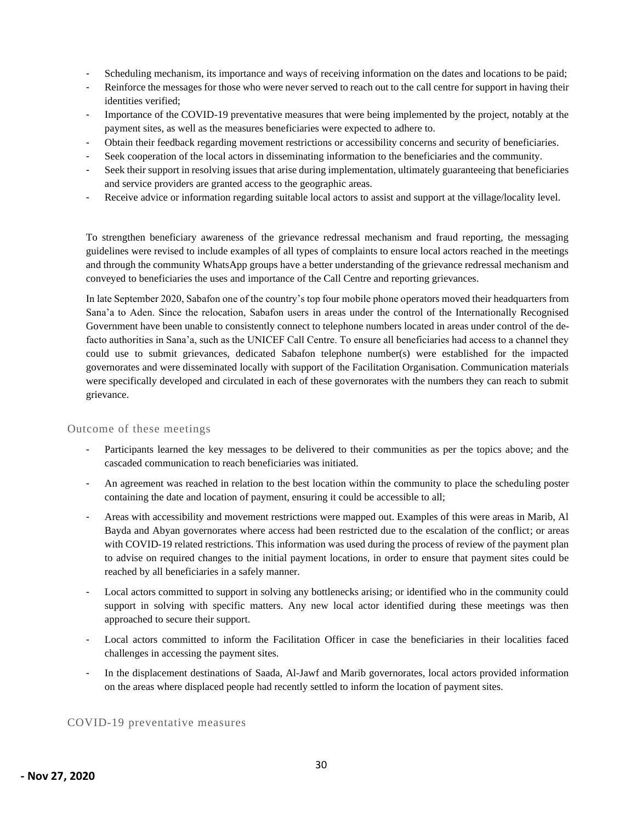- Scheduling mechanism, its importance and ways of receiving information on the dates and locations to be paid;
- Reinforce the messages for those who were never served to reach out to the call centre for support in having their identities verified;
- Importance of the COVID-19 preventative measures that were being implemented by the project, notably at the payment sites, as well as the measures beneficiaries were expected to adhere to.
- Obtain their feedback regarding movement restrictions or accessibility concerns and security of beneficiaries.
- Seek cooperation of the local actors in disseminating information to the beneficiaries and the community.
- Seek their support in resolving issues that arise during implementation, ultimately guaranteeing that beneficiaries and service providers are granted access to the geographic areas.
- Receive advice or information regarding suitable local actors to assist and support at the village/locality level.

To strengthen beneficiary awareness of the grievance redressal mechanism and fraud reporting, the messaging guidelines were revised to include examples of all types of complaints to ensure local actors reached in the meetings and through the community WhatsApp groups have a better understanding of the grievance redressal mechanism and conveyed to beneficiaries the uses and importance of the Call Centre and reporting grievances.

In late September 2020, Sabafon one of the country's top four mobile phone operators moved their headquarters from Sana'a to Aden. Since the relocation, Sabafon users in areas under the control of the Internationally Recognised Government have been unable to consistently connect to telephone numbers located in areas under control of the defacto authorities in Sana'a, such as the UNICEF Call Centre. To ensure all beneficiaries had access to a channel they could use to submit grievances, dedicated Sabafon telephone number(s) were established for the impacted governorates and were disseminated locally with support of the Facilitation Organisation. Communication materials were specifically developed and circulated in each of these governorates with the numbers they can reach to submit grievance.

#### Outcome of these meetings

- Participants learned the key messages to be delivered to their communities as per the topics above; and the cascaded communication to reach beneficiaries was initiated.
- An agreement was reached in relation to the best location within the community to place the scheduling poster containing the date and location of payment, ensuring it could be accessible to all;
- Areas with accessibility and movement restrictions were mapped out. Examples of this were areas in Marib, Al Bayda and Abyan governorates where access had been restricted due to the escalation of the conflict; or areas with COVID-19 related restrictions. This information was used during the process of review of the payment plan to advise on required changes to the initial payment locations, in order to ensure that payment sites could be reached by all beneficiaries in a safely manner.
- Local actors committed to support in solving any bottlenecks arising; or identified who in the community could support in solving with specific matters. Any new local actor identified during these meetings was then approached to secure their support.
- Local actors committed to inform the Facilitation Officer in case the beneficiaries in their localities faced challenges in accessing the payment sites.
- In the displacement destinations of Saada, Al-Jawf and Marib governorates, local actors provided information on the areas where displaced people had recently settled to inform the location of payment sites.

COVID-19 preventative measures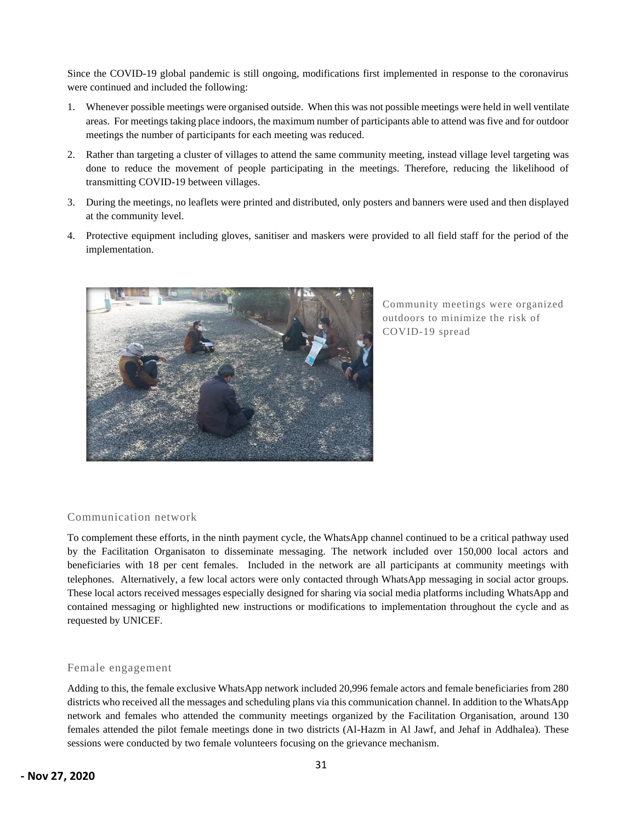Since the COVID-19 global pandemic is still ongoing, modifications first implemented in response to the coronavirus were continued and included the following:

- 1. Whenever possible meetings were organised outside. When this was not possible meetings were held in well ventilate areas. For meetings taking place indoors, the maximum number of participants able to attend was five and for outdoor meetings the number of participants for each meeting was reduced.
- 2. Rather than targeting a cluster of villages to attend the same community meeting, instead village level targeting was done to reduce the movement of people participating in the meetings. Therefore, reducing the likelihood of transmitting COVID-19 between villages.
- 3. During the meetings, no leaflets were printed and distributed, only posters and banners were used and then displayed at the community level.
- 4. Protective equipment including gloves, sanitiser and maskers were provided to all field staff for the period of the implementation.



Community meetings were organized outdoors to minimize the risk of COVID-19 spread

#### Communication network

To complement these efforts, in the ninth payment cycle, the WhatsApp channel continued to be a critical pathway used by the Facilitation Organisaton to disseminate messaging. The network included over 150,000 local actors and beneficiaries with 18 per cent females. Included in the network are all participants at community meetings with telephones. Alternatively, a few local actors were only contacted through WhatsApp messaging in social actor groups. These local actors received messages especially designed for sharing via social media platforms including WhatsApp and contained messaging or highlighted new instructions or modifications to implementation throughout the cycle and as requested by UNICEF.

#### Female engagement

Adding to this, the female exclusive WhatsApp network included 20,996 female actors and female beneficiaries from 280 districts who received all the messages and scheduling plans via this communication channel. In addition to the WhatsApp network and females who attended the community meetings organized by the Facilitation Organisation, around 130 females attended the pilot female meetings done in two districts (Al-Hazm in Al Jawf, and Jehaf in Addhalea). These sessions were conducted by two female volunteers focusing on the grievance mechanism.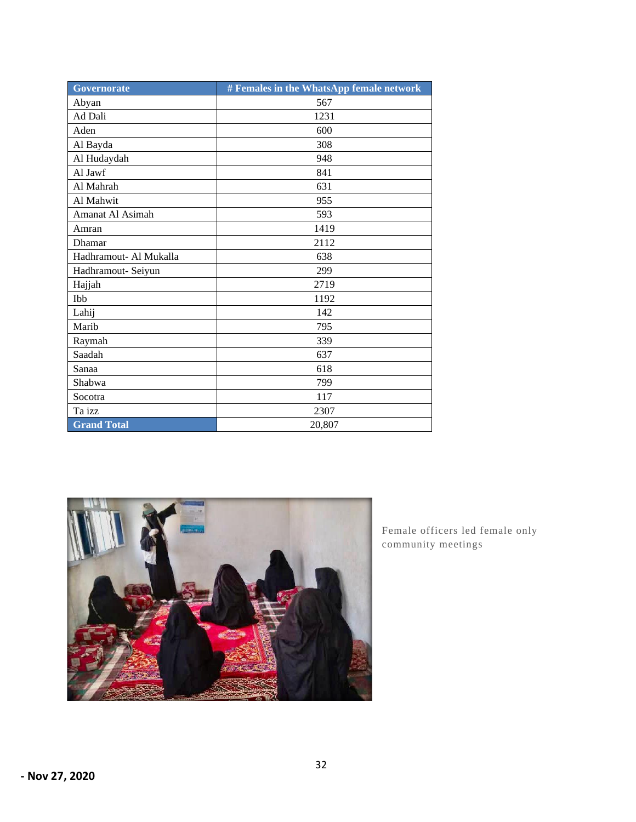| <b>Governorate</b>     | # Females in the WhatsApp female network |
|------------------------|------------------------------------------|
| Abyan                  | 567                                      |
| Ad Dali                | 1231                                     |
| Aden                   | 600                                      |
| Al Bayda               | 308                                      |
| Al Hudaydah            | 948                                      |
| Al Jawf                | 841                                      |
| Al Mahrah              | 631                                      |
| Al Mahwit              | 955                                      |
| Amanat Al Asimah       | 593                                      |
| Amran                  | 1419                                     |
| Dhamar                 | 2112                                     |
| Hadhramout- Al Mukalla | 638                                      |
| Hadhramout- Seiyun     | 299                                      |
| Hajjah                 | 2719                                     |
| Ibb                    | 1192                                     |
| Lahij                  | 142                                      |
| Marib                  | 795                                      |
| Raymah                 | 339                                      |
| Saadah                 | 637                                      |
| Sanaa                  | 618                                      |
| Shabwa                 | 799                                      |
| Socotra                | 117                                      |
| Ta izz                 | 2307                                     |
| <b>Grand Total</b>     | 20,807                                   |



Female officers led female only community meetings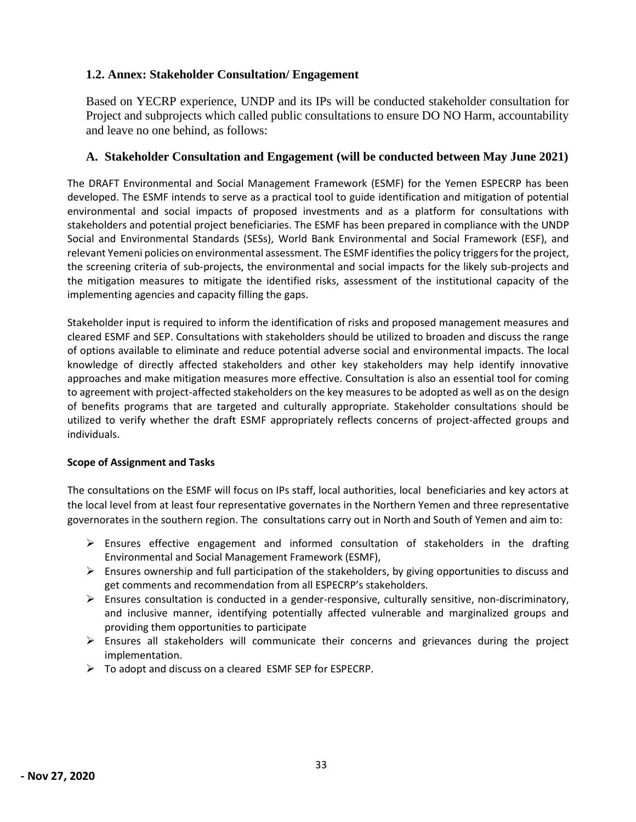### **1.2. Annex: Stakeholder Consultation/ Engagement**

Based on YECRP experience, UNDP and its IPs will be conducted stakeholder consultation for Project and subprojects which called public consultations to ensure DO NO Harm, accountability and leave no one behind, as follows:

### **A. Stakeholder Consultation and Engagement (will be conducted between May June 2021)**

The DRAFT Environmental and Social Management Framework (ESMF) for the Yemen ESPECRP has been developed. The ESMF intends to serve as a practical tool to guide identification and mitigation of potential environmental and social impacts of proposed investments and as a platform for consultations with stakeholders and potential project beneficiaries. The ESMF has been prepared in compliance with the UNDP Social and Environmental Standards (SESs), World Bank Environmental and Social Framework (ESF), and relevant Yemeni policies on environmental assessment. The ESMF identifies the policy triggers for the project, the screening criteria of sub-projects, the environmental and social impacts for the likely sub-projects and the mitigation measures to mitigate the identified risks, assessment of the institutional capacity of the implementing agencies and capacity filling the gaps.

Stakeholder input is required to inform the identification of risks and proposed management measures and cleared ESMF and SEP. Consultations with stakeholders should be utilized to broaden and discuss the range of options available to eliminate and reduce potential adverse social and environmental impacts. The local knowledge of directly affected stakeholders and other key stakeholders may help identify innovative approaches and make mitigation measures more effective. Consultation is also an essential tool for coming to agreement with project-affected stakeholders on the key measures to be adopted as well as on the design of benefits programs that are targeted and culturally appropriate. Stakeholder consultations should be utilized to verify whether the draft ESMF appropriately reflects concerns of project-affected groups and individuals.

### **Scope of Assignment and Tasks**

The consultations on the ESMF will focus on IPs staff, local authorities, local beneficiaries and key actors at the local level from at least four representative governates in the Northern Yemen and three representative governorates in the southern region. The consultations carry out in North and South of Yemen and aim to:

- $\triangleright$  Ensures effective engagement and informed consultation of stakeholders in the drafting Environmental and Social Management Framework (ESMF),
- $\triangleright$  Ensures ownership and full participation of the stakeholders, by giving opportunities to discuss and get comments and recommendation from all ESPECRP's stakeholders.
- $\triangleright$  Ensures consultation is conducted in a gender-responsive, culturally sensitive, non-discriminatory, and inclusive manner, identifying potentially affected vulnerable and marginalized groups and providing them opportunities to participate
- $\triangleright$  Ensures all stakeholders will communicate their concerns and grievances during the project implementation.
- ➢ To adopt and discuss on a cleared ESMF SEP for ESPECRP.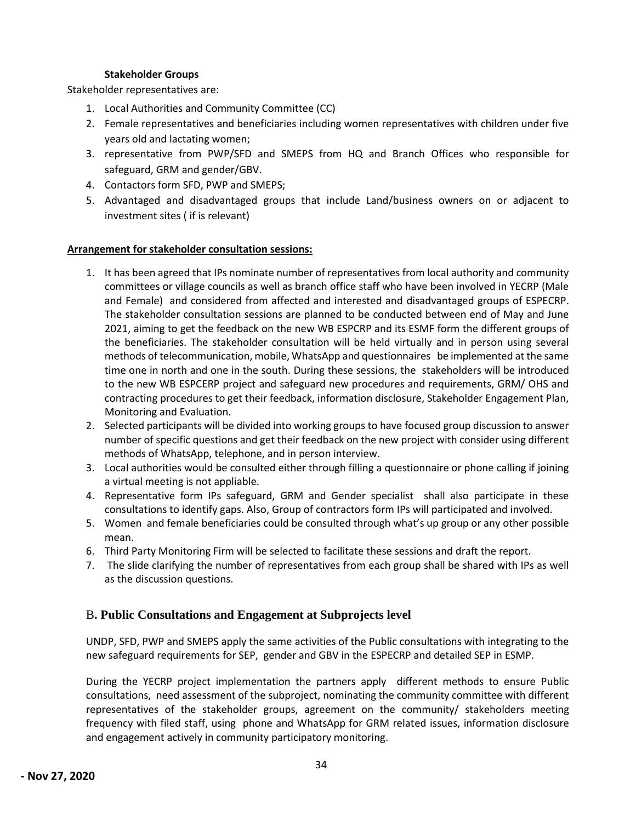#### **Stakeholder Groups**

Stakeholder representatives are:

- 1. Local Authorities and Community Committee (CC)
- 2. Female representatives and beneficiaries including women representatives with children under five years old and lactating women;
- 3. representative from PWP/SFD and SMEPS from HQ and Branch Offices who responsible for safeguard, GRM and gender/GBV.
- 4. Contactors form SFD, PWP and SMEPS;
- 5. Advantaged and disadvantaged groups that include Land/business owners on or adjacent to investment sites ( if is relevant)

#### **Arrangement for stakeholder consultation sessions:**

- 1. It has been agreed that IPs nominate number of representatives from local authority and community committees or village councils as well as branch office staff who have been involved in YECRP (Male and Female) and considered from affected and interested and disadvantaged groups of ESPECRP. The stakeholder consultation sessions are planned to be conducted between end of May and June 2021, aiming to get the feedback on the new WB ESPCRP and its ESMF form the different groups of the beneficiaries. The stakeholder consultation will be held virtually and in person using several methods of telecommunication, mobile, WhatsApp and questionnaires be implemented at the same time one in north and one in the south. During these sessions, the stakeholders will be introduced to the new WB ESPCERP project and safeguard new procedures and requirements, GRM/ OHS and contracting procedures to get their feedback, information disclosure, Stakeholder Engagement Plan, Monitoring and Evaluation.
- 2. Selected participants will be divided into working groups to have focused group discussion to answer number of specific questions and get their feedback on the new project with consider using different methods of WhatsApp, telephone, and in person interview.
- 3. Local authorities would be consulted either through filling a questionnaire or phone calling if joining a virtual meeting is not appliable.
- 4. Representative form IPs safeguard, GRM and Gender specialist shall also participate in these consultations to identify gaps. Also, Group of contractors form IPs will participated and involved.
- 5. Women and female beneficiaries could be consulted through what's up group or any other possible mean.
- 6. Third Party Monitoring Firm will be selected to facilitate these sessions and draft the report.
- 7. The slide clarifying the number of representatives from each group shall be shared with IPs as well as the discussion questions.

### B**. Public Consultations and Engagement at Subprojects level**

UNDP, SFD, PWP and SMEPS apply the same activities of the Public consultations with integrating to the new safeguard requirements for SEP, gender and GBV in the ESPECRP and detailed SEP in ESMP.

During the YECRP project implementation the partners apply different methods to ensure Public consultations, need assessment of the subproject, nominating the community committee with different representatives of the stakeholder groups, agreement on the community/ stakeholders meeting frequency with filed staff, using phone and WhatsApp for GRM related issues, information disclosure and engagement actively in community participatory monitoring.